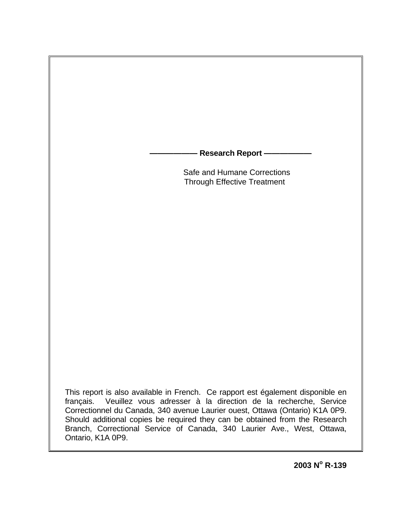**Research Report –** 

 Safe and Humane Corrections Through Effective Treatment

This report is also available in French. Ce rapport est également disponible en français. Veuillez vous adresser à la direction de la recherche, Service Correctionnel du Canada, 340 avenue Laurier ouest, Ottawa (Ontario) K1A 0P9. Should additional copies be required they can be obtained from the Research Branch, Correctional Service of Canada, 340 Laurier Ave., West, Ottawa, Ontario, K1A 0P9.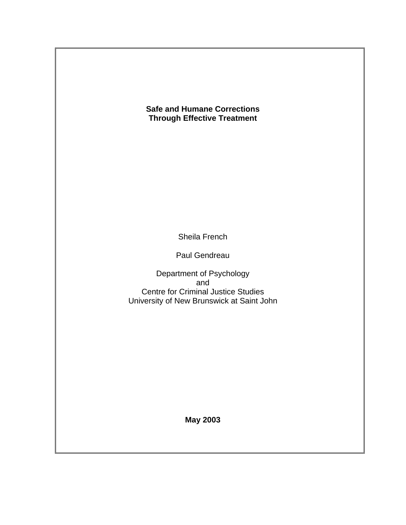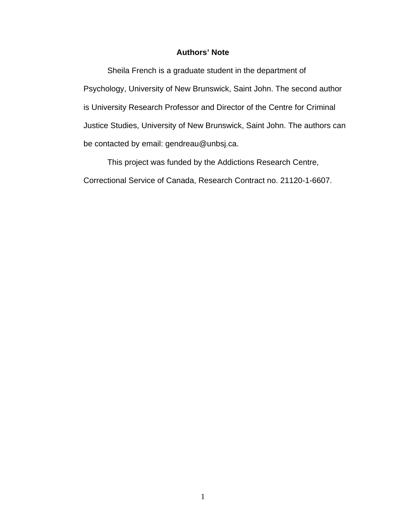### **Authors' Note**

Sheila French is a graduate student in the department of Psychology, University of New Brunswick, Saint John. The second author is University Research Professor and Director of the Centre for Criminal Justice Studies, University of New Brunswick, Saint John. The authors can be contacted by email: gendreau@unbsj.ca.

This project was funded by the Addictions Research Centre, Correctional Service of Canada, Research Contract no. 21120-1-6607.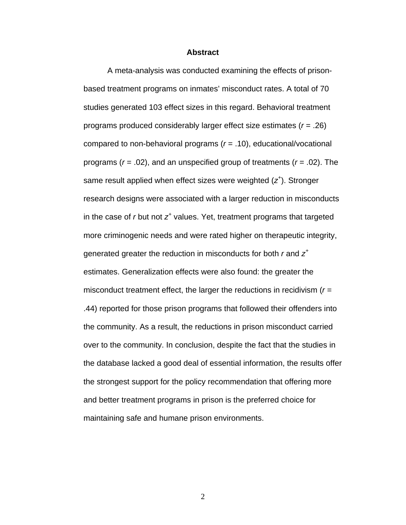#### **Abstract**

A meta-analysis was conducted examining the effects of prisonbased treatment programs on inmates' misconduct rates. A total of 70 studies generated 103 effect sizes in this regard. Behavioral treatment programs produced considerably larger effect size estimates (*r* = .26) compared to non-behavioral programs (*r* = .10), educational/vocational programs (*r* = .02), and an unspecified group of treatments (*r* = .02). The same result applied when effect sizes were weighted (*z<sup>+</sup>* ). Stronger research designs were associated with a larger reduction in misconducts in the case of *r* but not *z+* values. Yet, treatment programs that targeted more criminogenic needs and were rated higher on therapeutic integrity, generated greater the reduction in misconducts for both *r* and *z+* estimates. Generalization effects were also found: the greater the misconduct treatment effect, the larger the reductions in recidivism (*r* = .44) reported for those prison programs that followed their offenders into the community. As a result, the reductions in prison misconduct carried over to the community. In conclusion, despite the fact that the studies in the database lacked a good deal of essential information, the results offer the strongest support for the policy recommendation that offering more and better treatment programs in prison is the preferred choice for maintaining safe and humane prison environments.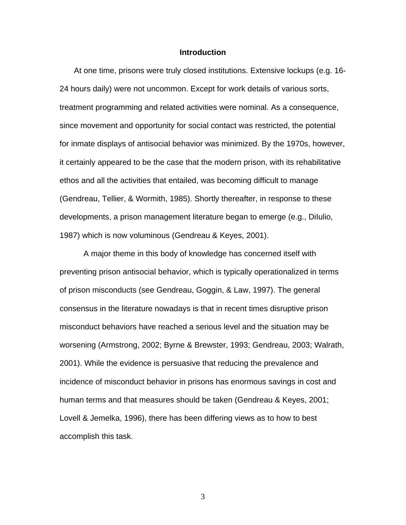#### **Introduction**

 At one time, prisons were truly closed institutions. Extensive lockups (e.g. 16- 24 hours daily) were not uncommon. Except for work details of various sorts, treatment programming and related activities were nominal. As a consequence, since movement and opportunity for social contact was restricted, the potential for inmate displays of antisocial behavior was minimized. By the 1970s, however, it certainly appeared to be the case that the modern prison, with its rehabilitative ethos and all the activities that entailed, was becoming difficult to manage (Gendreau, Tellier, & Wormith, 1985). Shortly thereafter, in response to these developments, a prison management literature began to emerge (e.g., DiIulio, 1987) which is now voluminous (Gendreau & Keyes, 2001).

A major theme in this body of knowledge has concerned itself with preventing prison antisocial behavior, which is typically operationalized in terms of prison misconducts (see Gendreau, Goggin, & Law, 1997). The general consensus in the literature nowadays is that in recent times disruptive prison misconduct behaviors have reached a serious level and the situation may be worsening (Armstrong, 2002; Byrne & Brewster, 1993; Gendreau, 2003; Walrath, 2001). While the evidence is persuasive that reducing the prevalence and incidence of misconduct behavior in prisons has enormous savings in cost and human terms and that measures should be taken (Gendreau & Keyes, 2001; Lovell & Jemelka, 1996), there has been differing views as to how to best accomplish this task.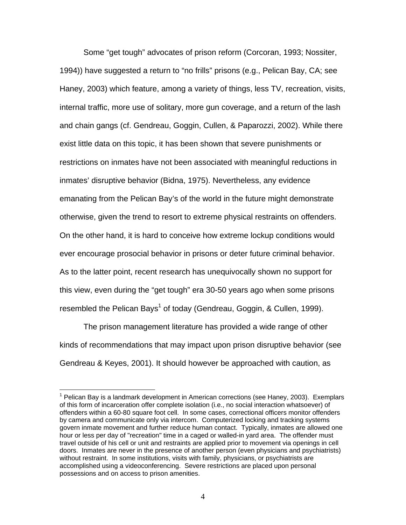Some "get tough" advocates of prison reform (Corcoran, 1993; Nossiter, 1994)) have suggested a return to "no frills" prisons (e.g., Pelican Bay, CA; see Haney, 2003) which feature, among a variety of things, less TV, recreation, visits, internal traffic, more use of solitary, more gun coverage, and a return of the lash and chain gangs (cf. Gendreau, Goggin, Cullen, & Paparozzi, 2002). While there exist little data on this topic, it has been shown that severe punishments or restrictions on inmates have not been associated with meaningful reductions in inmates' disruptive behavior (Bidna, 1975). Nevertheless, any evidence emanating from the Pelican Bay's of the world in the future might demonstrate otherwise, given the trend to resort to extreme physical restraints on offenders. On the other hand, it is hard to conceive how extreme lockup conditions would ever encourage prosocial behavior in prisons or deter future criminal behavior. As to the latter point, recent research has unequivocally shown no support for this view, even during the "get tough" era 30-50 years ago when some prisons resembled the Pelican Bays<sup>[1](#page-5-0)</sup> of today (Gendreau, Goggin, & Cullen, 1999).

The prison management literature has provided a wide range of other kinds of recommendations that may impact upon prison disruptive behavior (see Gendreau & Keyes, 2001). It should however be approached with caution, as

 $\overline{a}$ 

<span id="page-5-0"></span><sup>&</sup>lt;sup>1</sup> Pelican Bay is a landmark development in American corrections (see Haney, 2003). Exemplars of this form of incarceration offer complete isolation (i.e., no social interaction whatsoever) of offenders within a 60-80 square foot cell. In some cases, correctional officers monitor offenders by camera and communicate only via intercom. Computerized locking and tracking systems govern inmate movement and further reduce human contact. Typically, inmates are allowed one hour or less per day of "recreation" time in a caged or walled-in yard area. The offender must travel outside of his cell or unit and restraints are applied prior to movement via openings in cell doors. Inmates are never in the presence of another person (even physicians and psychiatrists) without restraint. In some institutions, visits with family, physicians, or psychiatrists are accomplished using a videoconferencing. Severe restrictions are placed upon personal possessions and on access to prison amenities.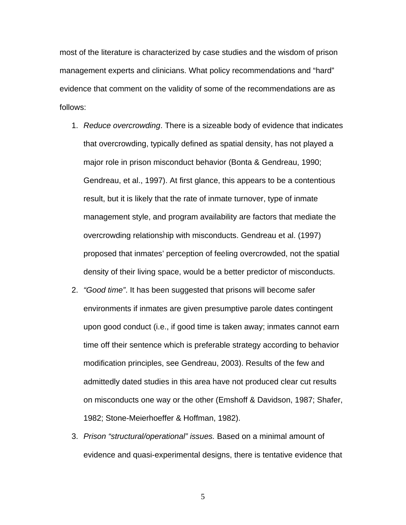most of the literature is characterized by case studies and the wisdom of prison management experts and clinicians. What policy recommendations and "hard" evidence that comment on the validity of some of the recommendations are as follows:

- 1. *Reduce overcrowding*. There is a sizeable body of evidence that indicates that overcrowding, typically defined as spatial density, has not played a major role in prison misconduct behavior (Bonta & Gendreau, 1990; Gendreau, et al., 1997). At first glance, this appears to be a contentious result, but it is likely that the rate of inmate turnover, type of inmate management style, and program availability are factors that mediate the overcrowding relationship with misconducts. Gendreau et al. (1997) proposed that inmates' perception of feeling overcrowded, not the spatial density of their living space, would be a better predictor of misconducts.
- 2. *"Good time"*. It has been suggested that prisons will become safer environments if inmates are given presumptive parole dates contingent upon good conduct (i.e., if good time is taken away; inmates cannot earn time off their sentence which is preferable strategy according to behavior modification principles, see Gendreau, 2003). Results of the few and admittedly dated studies in this area have not produced clear cut results on misconducts one way or the other (Emshoff & Davidson, 1987; Shafer, 1982; Stone-Meierhoeffer & Hoffman, 1982).
- 3. *Prison "structural/operational" issues.* Based on a minimal amount of evidence and quasi-experimental designs, there is tentative evidence that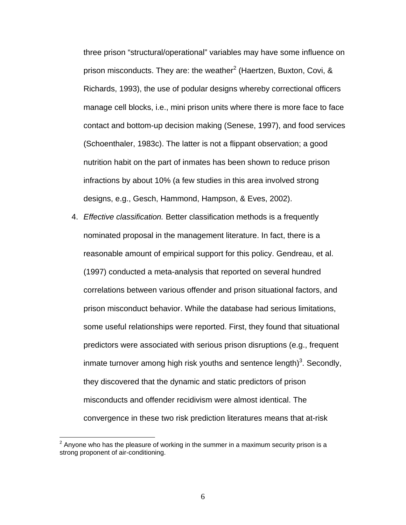three prison "structural/operational" variables may have some influence on prison misconducts. They are: the weather<sup>[2](#page-7-0)</sup> (Haertzen, Buxton, Covi, & Richards, 1993), the use of podular designs whereby correctional officers manage cell blocks, i.e., mini prison units where there is more face to face contact and bottom-up decision making (Senese, 1997), and food services (Schoenthaler, 1983c). The latter is not a flippant observation; a good nutrition habit on the part of inmates has been shown to reduce prison infractions by about 10% (a few studies in this area involved strong designs, e.g., Gesch, Hammond, Hampson, & Eves, 2002).

4. *Effective classification.* Better classification methods is a frequently nominated proposal in the management literature. In fact, there is a reasonable amount of empirical support for this policy. Gendreau, et al. (1997) conducted a meta-analysis that reported on several hundred correlations between various offender and prison situational factors, and prison misconduct behavior. While the database had serious limitations, some useful relationships were reported. First, they found that situational predictors were associated with serious prison disruptions (e.g., frequent inmate turnover among high risk youths and sentence length)<sup>[3](#page-7-1)</sup>. Secondly, they discovered that the dynamic and static predictors of prison misconducts and offender recidivism were almost identical. The convergence in these two risk prediction literatures means that at-risk

<span id="page-7-1"></span><u>.</u>

<span id="page-7-0"></span> $2$  Anyone who has the pleasure of working in the summer in a maximum security prison is a strong proponent of air-conditioning.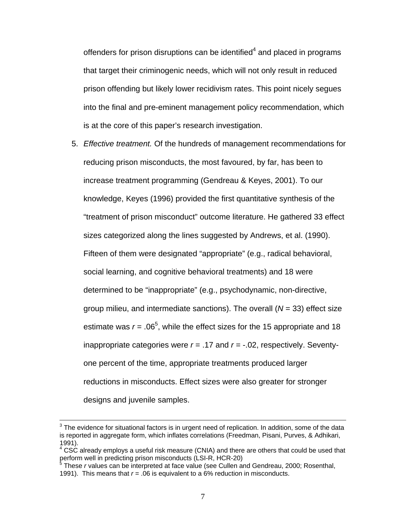offenders for prison disruptions can be identified $4$  and placed in programs that target their criminogenic needs, which will not only result in reduced prison offending but likely lower recidivism rates. This point nicely segues into the final and pre-eminent management policy recommendation, which is at the core of this paper's research investigation.

5. *Effective treatment.* Of the hundreds of management recommendations for reducing prison misconducts, the most favoured, by far, has been to increase treatment programming (Gendreau & Keyes, 2001). To our knowledge, Keyes (1996) provided the first quantitative synthesis of the "treatment of prison misconduct" outcome literature. He gathered 33 effect sizes categorized along the lines suggested by Andrews, et al. (1990). Fifteen of them were designated "appropriate" (e.g., radical behavioral, social learning, and cognitive behavioral treatments) and 18 were determined to be "inappropriate" (e.g., psychodynamic, non-directive, group milieu, and intermediate sanctions). The overall (*N* = 33) effect size estimate was  $r = .06<sup>5</sup>$  $r = .06<sup>5</sup>$  $r = .06<sup>5</sup>$ , while the effect sizes for the 15 appropriate and 18 inappropriate categories were *r* = .17 and *r* = -.02, respectively. Seventyone percent of the time, appropriate treatments produced larger reductions in misconducts. Effect sizes were also greater for stronger designs and juvenile samples.

3 The evidence for situational factors is in urgent need of replication. In addition, some of the data is reported in aggregate form, which inflates correlations (Freedman, Pisani, Purves, & Adhikari, 1991).

<span id="page-8-0"></span> $4$  CSC already employs a useful risk measure (CNIA) and there are others that could be used that perform well in predicting prison misconducts (LSI-R, HCR-20)<br><sup>5</sup> These syglues can be interpreted at face value (see Cullen at

<span id="page-8-1"></span>These *r* values can be interpreted at face value (see Cullen and Gendreau, 2000; Rosenthal, 1991). This means that *r* = .06 is equivalent to a 6% reduction in misconducts.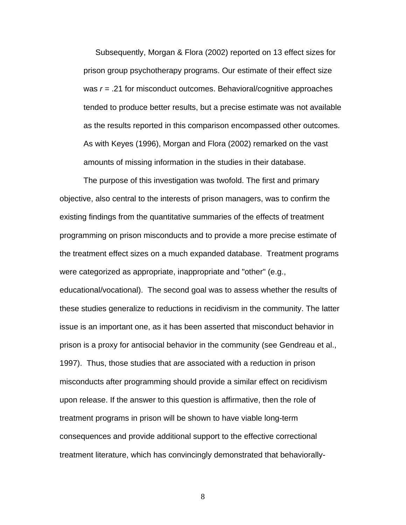Subsequently, Morgan & Flora (2002) reported on 13 effect sizes for prison group psychotherapy programs. Our estimate of their effect size was *r* = .21 for misconduct outcomes. Behavioral/cognitive approaches tended to produce better results, but a precise estimate was not available as the results reported in this comparison encompassed other outcomes. As with Keyes (1996), Morgan and Flora (2002) remarked on the vast amounts of missing information in the studies in their database.

The purpose of this investigation was twofold. The first and primary objective, also central to the interests of prison managers, was to confirm the existing findings from the quantitative summaries of the effects of treatment programming on prison misconducts and to provide a more precise estimate of the treatment effect sizes on a much expanded database. Treatment programs were categorized as appropriate, inappropriate and "other" (e.g., educational/vocational). The second goal was to assess whether the results of these studies generalize to reductions in recidivism in the community. The latter issue is an important one, as it has been asserted that misconduct behavior in prison is a proxy for antisocial behavior in the community (see Gendreau et al., 1997). Thus, those studies that are associated with a reduction in prison misconducts after programming should provide a similar effect on recidivism upon release. If the answer to this question is affirmative, then the role of treatment programs in prison will be shown to have viable long-term consequences and provide additional support to the effective correctional treatment literature, which has convincingly demonstrated that behaviorally-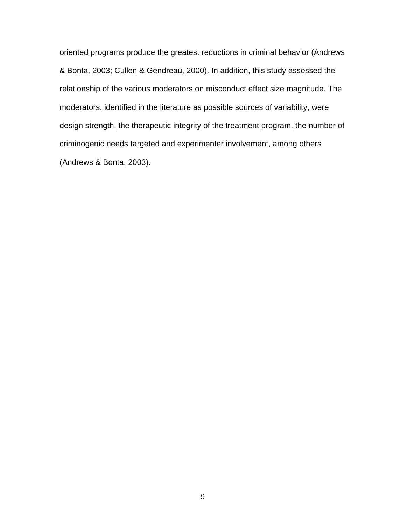oriented programs produce the greatest reductions in criminal behavior (Andrews & Bonta, 2003; Cullen & Gendreau, 2000). In addition, this study assessed the relationship of the various moderators on misconduct effect size magnitude. The moderators, identified in the literature as possible sources of variability, were design strength, the therapeutic integrity of the treatment program, the number of criminogenic needs targeted and experimenter involvement, among others (Andrews & Bonta, 2003).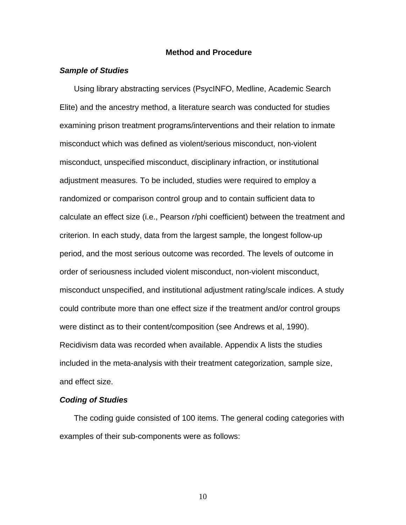#### **Method and Procedure**

### *Sample of Studies*

 Using library abstracting services (PsycINFO, Medline, Academic Search Elite) and the ancestry method, a literature search was conducted for studies examining prison treatment programs/interventions and their relation to inmate misconduct which was defined as violent/serious misconduct, non-violent misconduct, unspecified misconduct, disciplinary infraction, or institutional adjustment measures. To be included, studies were required to employ a randomized or comparison control group and to contain sufficient data to calculate an effect size (i.e., Pearson *r*/phi coefficient) between the treatment and criterion. In each study, data from the largest sample, the longest follow-up period, and the most serious outcome was recorded. The levels of outcome in order of seriousness included violent misconduct, non-violent misconduct, misconduct unspecified, and institutional adjustment rating/scale indices. A study could contribute more than one effect size if the treatment and/or control groups were distinct as to their content/composition (see Andrews et al, 1990). Recidivism data was recorded when available. Appendix A lists the studies included in the meta-analysis with their treatment categorization, sample size, and effect size.

#### *Coding of Studies*

 The coding guide consisted of 100 items. The general coding categories with examples of their sub-components were as follows: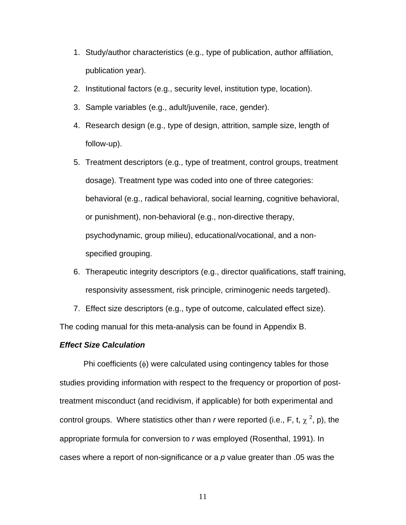- 1. Study/author characteristics (e.g., type of publication, author affiliation, publication year).
- 2. Institutional factors (e.g., security level, institution type, location).
- 3. Sample variables (e.g., adult/juvenile, race, gender).
- 4. Research design (e.g., type of design, attrition, sample size, length of follow-up).
- 5. Treatment descriptors (e.g., type of treatment, control groups, treatment dosage). Treatment type was coded into one of three categories: behavioral (e.g., radical behavioral, social learning, cognitive behavioral, or punishment), non-behavioral (e.g., non-directive therapy, psychodynamic, group milieu), educational/vocational, and a nonspecified grouping.
- 6. Therapeutic integrity descriptors (e.g., director qualifications, staff training, responsivity assessment, risk principle, criminogenic needs targeted).
- 7. Effect size descriptors (e.g., type of outcome, calculated effect size).

The coding manual for this meta-analysis can be found in Appendix B.

#### *Effect Size Calculation*

Phi coefficients (φ) were calculated using contingency tables for those studies providing information with respect to the frequency or proportion of posttreatment misconduct (and recidivism, if applicable) for both experimental and control groups. Where statistics other than *r* were reported (i.e., F, t,  $\chi^2$ , p), the appropriate formula for conversion to *r* was employed (Rosenthal, 1991). In cases where a report of non-significance or a *p* value greater than .05 was the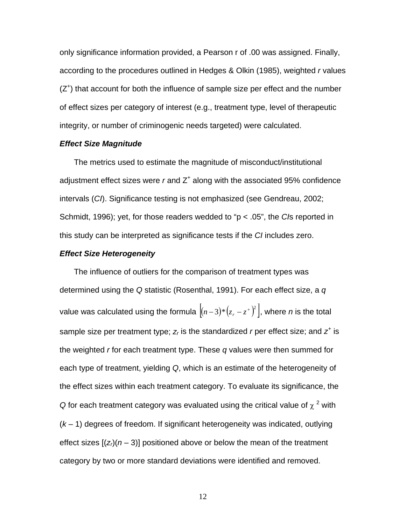only significance information provided, a Pearson r of .00 was assigned. Finally, according to the procedures outlined in Hedges & Olkin (1985), weighted *r* values  $(Z<sup>+</sup>)$  that account for both the influence of sample size per effect and the number of effect sizes per category of interest (e.g., treatment type, level of therapeutic integrity, or number of criminogenic needs targeted) were calculated.

#### *Effect Size Magnitude*

 The metrics used to estimate the magnitude of misconduct/institutional adjustment effect sizes were  $r$  and  $Z^+$  along with the associated 95% confidence intervals (*CI*). Significance testing is not emphasized (see Gendreau, 2002; Schmidt, 1996); yet, for those readers wedded to "p < .05", the *CI*s reported in this study can be interpreted as significance tests if the *CI* includes zero.

#### *Effect Size Heterogeneity*

 The influence of outliers for the comparison of treatment types was determined using the *Q* statistic (Rosenthal, 1991). For each effect size, a *q* value was calculated using the formula  $\big[(n-3)*\big(z_r - z^+\big)^2\big]$ , where  $n$  is the total sample size per treatment type;  $z_r$  is the standardized *r* per effect size; and  $z^*$  is the weighted *r* for each treatment type. These *q* values were then summed for each type of treatment, yielding *Q*, which is an estimate of the heterogeneity of the effect sizes within each treatment category. To evaluate its significance, the *Q* for each treatment category was evaluated using the critical value of  $\chi^2$  with (*k* – 1) degrees of freedom. If significant heterogeneity was indicated, outlying effect sizes  $[(z<sub>i</sub>)(n-3)]$  positioned above or below the mean of the treatment category by two or more standard deviations were identified and removed.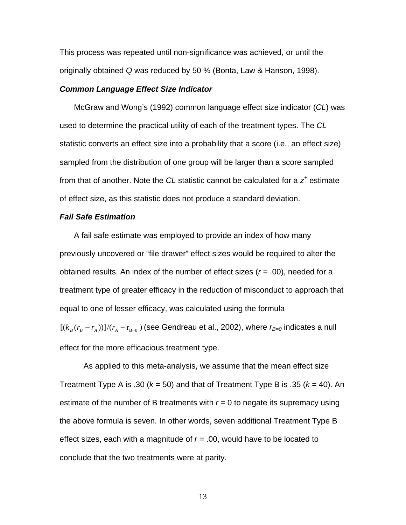This process was repeated until non-significance was achieved, or until the originally obtained *Q* was reduced by 50 % (Bonta, Law & Hanson, 1998).

#### *Common Language Effect Size Indicator*

 McGraw and Wong's (1992) common language effect size indicator (*CL*) was used to determine the practical utility of each of the treatment types. The *CL* statistic converts an effect size into a probability that a score (i.e., an effect size) sampled from the distribution of one group will be larger than a score sampled from that of another. Note the *CL* statistic cannot be calculated for a *z<sup>+</sup>* estimate of effect size, as this statistic does not produce a standard deviation.

### *Fail Safe Estimation*

 A fail safe estimate was employed to provide an index of how many previously uncovered or "file drawer" effect sizes would be required to alter the obtained results. An index of the number of effect sizes (*r* = .00), needed for a treatment type of greater efficacy in the reduction of misconduct to approach that equal to one of lesser efficacy, was calculated using the formula  $[(k_{B}(r_{B}-r_{A}))]/(r_{A}-r_{B=0})$  (see Gendreau et al., 2002), where  $r_{B=0}$  indicates a null effect for the more efficacious treatment type.

As applied to this meta-analysis, we assume that the mean effect size Treatment Type A is .30 ( $k = 50$ ) and that of Treatment Type B is .35 ( $k = 40$ ). An estimate of the number of B treatments with  $r = 0$  to negate its supremacy using the above formula is seven. In other words, seven additional Treatment Type B effect sizes, each with a magnitude of  $r = .00$ , would have to be located to conclude that the two treatments were at parity.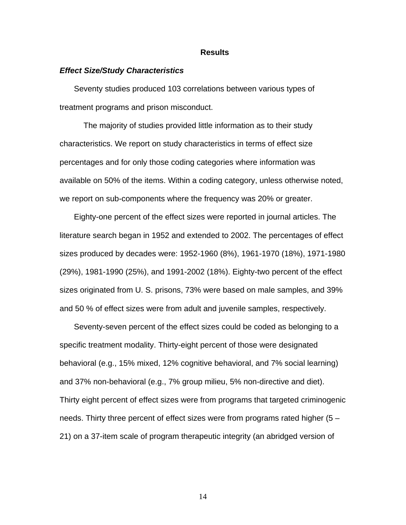#### **Results**

#### *Effect Size/Study Characteristics*

 Seventy studies produced 103 correlations between various types of treatment programs and prison misconduct.

The majority of studies provided little information as to their study characteristics. We report on study characteristics in terms of effect size percentages and for only those coding categories where information was available on 50% of the items. Within a coding category, unless otherwise noted, we report on sub-components where the frequency was 20% or greater.

 Eighty-one percent of the effect sizes were reported in journal articles. The literature search began in 1952 and extended to 2002. The percentages of effect sizes produced by decades were: 1952-1960 (8%), 1961-1970 (18%), 1971-1980 (29%), 1981-1990 (25%), and 1991-2002 (18%). Eighty-two percent of the effect sizes originated from U. S. prisons, 73% were based on male samples, and 39% and 50 % of effect sizes were from adult and juvenile samples, respectively.

 Seventy-seven percent of the effect sizes could be coded as belonging to a specific treatment modality. Thirty-eight percent of those were designated behavioral (e.g., 15% mixed, 12% cognitive behavioral, and 7% social learning) and 37% non-behavioral (e.g., 7% group milieu, 5% non-directive and diet). Thirty eight percent of effect sizes were from programs that targeted criminogenic needs. Thirty three percent of effect sizes were from programs rated higher (5 – 21) on a 37-item scale of program therapeutic integrity (an abridged version of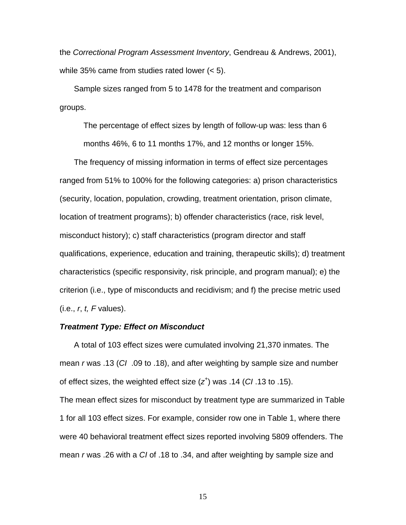the *Correctional Program Assessment Inventory*, Gendreau & Andrews, 2001), while 35% came from studies rated lower (< 5).

 Sample sizes ranged from 5 to 1478 for the treatment and comparison groups.

The percentage of effect sizes by length of follow-up was: less than 6 months 46%, 6 to 11 months 17%, and 12 months or longer 15%.

 The frequency of missing information in terms of effect size percentages ranged from 51% to 100% for the following categories: a) prison characteristics (security, location, population, crowding, treatment orientation, prison climate, location of treatment programs); b) offender characteristics (race, risk level, misconduct history); c) staff characteristics (program director and staff qualifications, experience, education and training, therapeutic skills); d) treatment characteristics (specific responsivity, risk principle, and program manual); e) the criterion (i.e., type of misconducts and recidivism; and f) the precise metric used (i.e., *r*, *t, F* values).

#### *Treatment Type: Effect on Misconduct*

 A total of 103 effect sizes were cumulated involving 21,370 inmates. The mean *r* was .13 (*CI* .09 to .18), and after weighting by sample size and number of effect sizes, the weighted effect size (*z<sup>+</sup>* ) was .14 (*CI* .13 to .15). The mean effect sizes for misconduct by treatment type are summarized in Table 1 for all 103 effect sizes. For example, consider row one in Table 1, where there were 40 behavioral treatment effect sizes reported involving 5809 offenders. The mean *r* was .26 with a *CI* of .18 to .34, and after weighting by sample size and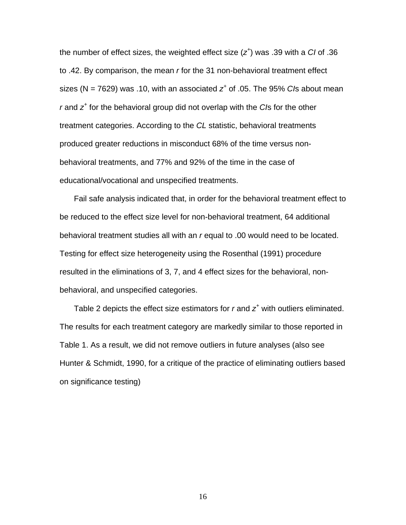the number of effect sizes, the weighted effect size (*z<sup>+</sup>* ) was .39 with a *CI* of .36 to .42. By comparison, the mean *r* for the 31 non-behavioral treatment effect sizes (N = 7629) was .10, with an associated *z<sup>+</sup>* of .05. The 95% *CI*s about mean *r* and *z<sup>+</sup>* for the behavioral group did not overlap with the *CI*s for the other treatment categories. According to the *CL* statistic, behavioral treatments produced greater reductions in misconduct 68% of the time versus nonbehavioral treatments, and 77% and 92% of the time in the case of educational/vocational and unspecified treatments.

 Fail safe analysis indicated that, in order for the behavioral treatment effect to be reduced to the effect size level for non-behavioral treatment, 64 additional behavioral treatment studies all with an *r* equal to .00 would need to be located. Testing for effect size heterogeneity using the Rosenthal (1991) procedure resulted in the eliminations of 3, 7, and 4 effect sizes for the behavioral, nonbehavioral, and unspecified categories.

Table 2 depicts the effect size estimators for  $r$  and  $z<sup>+</sup>$  with outliers eliminated. The results for each treatment category are markedly similar to those reported in Table 1. As a result, we did not remove outliers in future analyses (also see Hunter & Schmidt, 1990, for a critique of the practice of eliminating outliers based on significance testing)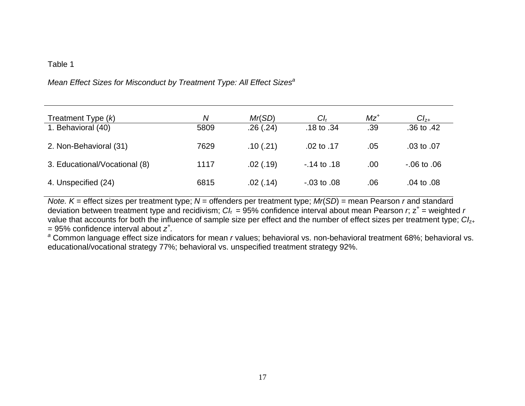### Table 1

# *Mean Effect Sizes for Misconduct by Treatment Type: All Effect Sizesa*

| Treatment Type $(k)$          | N    | Mr(SD)    | $Cl_r$           | $Mz^+$ | $Cl_{Z+}$        |
|-------------------------------|------|-----------|------------------|--------|------------------|
| 1. Behavioral (40)            | 5809 | .26(.24)  | .18 to .34       | .39    | $.36$ to $.42$   |
| 2. Non-Behavioral (31)        | 7629 | .10(.21)  | .02 to .17       | .05    | .03 to .07       |
| 3. Educational/Vocational (8) | 1117 | .02(0.19) | $-14$ to $.18$   | .00    | $-0.06$ to $.06$ |
| 4. Unspecified (24)           | 6815 | .02(0.14) | $-0.03$ to $.08$ | .06    | .04 to .08       |

*Note. K* = effect sizes per treatment type; *N* = offenders per treatment type; *Mr*(*SD*) = mean Pearson *r* and standard deviation between treatment type and recidivism;  $C_l$  = 95% confidence interval about mean Pearson  $r$ ,  $z^+$  = weighted  $r$ value that accounts for both the influence of sample size per effect and the number of effect sizes per treatment type; *CI*z+ = 95% confidence interval about *z+.* 

*<sup>a</sup>* Common language effect size indicators for mean *r* values; behavioral vs. non-behavioral treatment 68%; behavioral vs. educational/vocational strategy 77%; behavioral vs. unspecified treatment strategy 92%.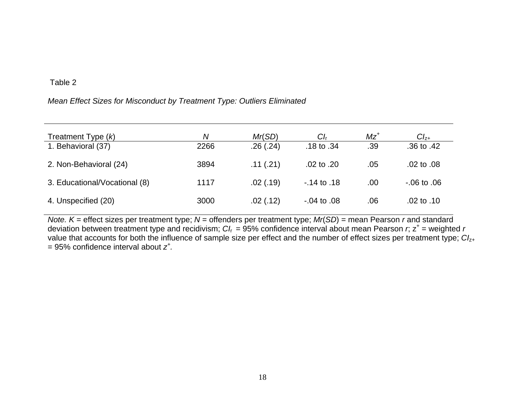# Table 2

### *Mean Effect Sizes for Misconduct by Treatment Type: Outliers Eliminated*

| Treatment Type $(k)$          | Ν    | Mr(SD)    | Cl <sub>r</sub>  | $Mz^+$ | $Cl_{7+}$             |
|-------------------------------|------|-----------|------------------|--------|-----------------------|
| 1. Behavioral (37)            | 2266 | .26(.24)  | .18 to $.34$     | .39    | $.36 \text{ to } .42$ |
| 2. Non-Behavioral (24)        | 3894 | .11(.21)  | .02 to $.20$     | .05    | $.02$ to $.08$        |
| 3. Educational/Vocational (8) | 1117 | .02(0.19) | $-14$ to $.18$   | .00    | $-06$ to $.06$        |
| 4. Unspecified (20)           | 3000 | .02(.12)  | $-0.04$ to $.08$ | .06    | $.02$ to $.10$        |

*Note. K* = effect sizes per treatment type; *N* = offenders per treatment type; *Mr*(*SD*) = mean Pearson *r* and standard deviation between treatment type and recidivism;  $C_l$  = 95% confidence interval about mean Pearson  $r$ ,  $z^+$  = weighted  $r$ value that accounts for both the influence of sample size per effect and the number of effect sizes per treatment type; *CI*z+ = 95% confidence interval about *z+.*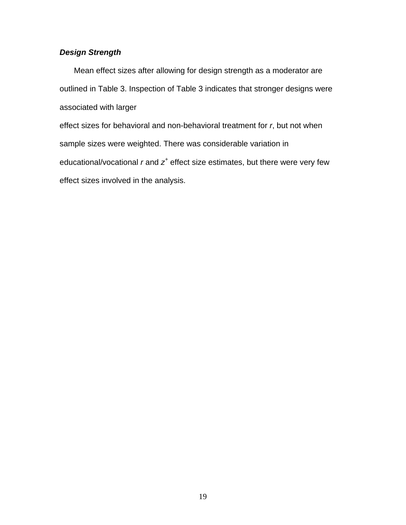# *Design Strength*

 Mean effect sizes after allowing for design strength as a moderator are outlined in Table 3. Inspection of Table 3 indicates that stronger designs were associated with larger

effect sizes for behavioral and non-behavioral treatment for *r*, but not when sample sizes were weighted. There was considerable variation in educational/vocational *r* and *z<sup>+</sup>* effect size estimates, but there were very few effect sizes involved in the analysis.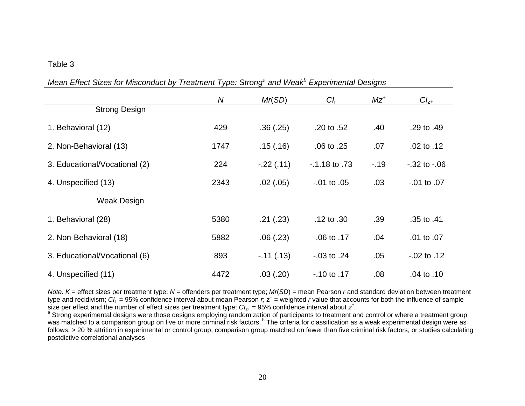### Table 3

| Mean Enect Sizes for Misconduct by Treatment Type. Strong and Weak Experimental Designs |      |             |                    |        |                    |
|-----------------------------------------------------------------------------------------|------|-------------|--------------------|--------|--------------------|
|                                                                                         | N    | Mr(SD)      | $Cl_{r}$           | $Mz^+$ | $Cl_{Z+}$          |
| <b>Strong Design</b>                                                                    |      |             |                    |        |                    |
| 1. Behavioral (12)                                                                      | 429  | .36(.25)    | .20 to .52         | .40    | .29 to .49         |
| 2. Non-Behavioral (13)                                                                  | 1747 | .15(.16)    | $.06$ to $.25$     | .07    | .02 to .12         |
| 3. Educational/Vocational (2)                                                           | 224  | $-.22(.11)$ | $-0.1.18$ to $.73$ | $-19$  | $-0.32$ to $-0.06$ |
| 4. Unspecified (13)                                                                     | 2343 | .02(.05)    | $-.01$ to $.05$    | .03    | $-0.01$ to $.07$   |
| Weak Design                                                                             |      |             |                    |        |                    |
| 1. Behavioral (28)                                                                      | 5380 | .21(.23)    | $.12$ to $.30$     | .39    | .35 to .41         |
| 2. Non-Behavioral (18)                                                                  | 5882 | .06(.23)    | $-06$ to $.17$     | .04    | .01 to .07         |
| 3. Educational/Vocational (6)                                                           | 893  | $-.11(.13)$ | $-0.03$ to $.24$   | .05    | $-0.02$ to $.12$   |
| 4. Unspecified (11)                                                                     | 4472 | .03(.20)    | $-.10$ to $.17$    | .08    | .04 to .10         |

*Mean Effect Sizes for Misconduct by Treatment Type: Stronga and Weakb Experimental Designs* 

*Note. K* = effect sizes per treatment type; *N* = offenders per treatment type; *Mr*(*SD*) = mean Pearson *r* and standard deviation between treatment type and recidivism;  $CI_r = 95\%$  confidence interval about mean Pearson r,  $z^+$  = weighted r value that accounts for both the influence of sample size per effect and the number of effect sizes per treatment type;  $Cl_{z+} = 95\%$  confidence interval about  $z^*$ .

<sup>a</sup> Strong experimental designs were those designs employing randomization of participants to treatment and control or where a treatment group was matched to a comparison group on five or more criminal risk factors. <sup>b</sup> The criteria for classification as a weak experimental design were as follows: > 20 % attrition in experimental or control group; comparison group matched on fewer than five criminal risk factors; or studies calculating postdictive correlational analyses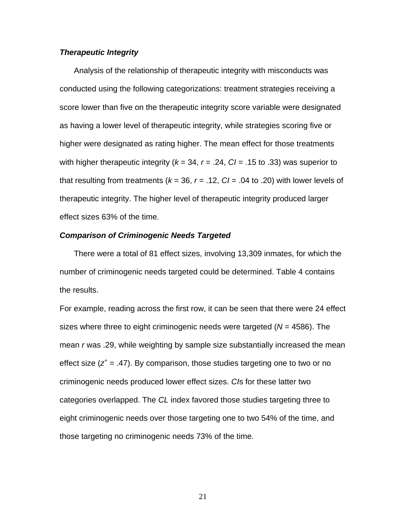#### *Therapeutic Integrity*

 Analysis of the relationship of therapeutic integrity with misconducts was conducted using the following categorizations: treatment strategies receiving a score lower than five on the therapeutic integrity score variable were designated as having a lower level of therapeutic integrity, while strategies scoring five or higher were designated as rating higher. The mean effect for those treatments with higher therapeutic integrity ( $k = 34$ ,  $r = .24$ ,  $Cl = .15$  to .33) was superior to that resulting from treatments ( $k = 36$ ,  $r = .12$ ,  $Cl = .04$  to .20) with lower levels of therapeutic integrity. The higher level of therapeutic integrity produced larger effect sizes 63% of the time.

#### *Comparison of Criminogenic Needs Targeted*

 There were a total of 81 effect sizes, involving 13,309 inmates, for which the number of criminogenic needs targeted could be determined. Table 4 contains the results.

For example, reading across the first row, it can be seen that there were 24 effect sizes where three to eight criminogenic needs were targeted (*N* = 4586). The mean *r* was .29, while weighting by sample size substantially increased the mean effect size  $(z^+ = .47)$ . By comparison, those studies targeting one to two or no criminogenic needs produced lower effect sizes. *CI*s for these latter two categories overlapped. The *CL* index favored those studies targeting three to eight criminogenic needs over those targeting one to two 54% of the time, and those targeting no criminogenic needs 73% of the time.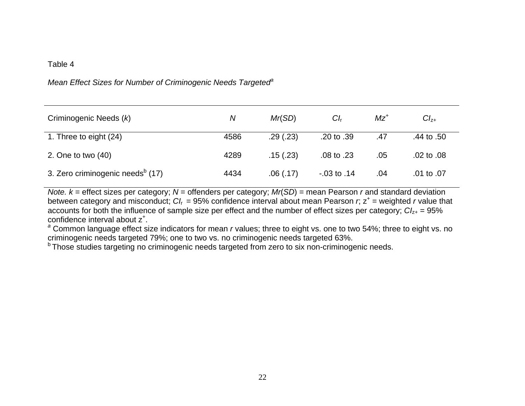### Table 4

# *Mean Effect Sizes for Number of Criminogenic Needs Targeted<sup>e</sup>*

| Criminogenic Needs (k)                       | Ν    | Mr(SD)    | $Cl_r$           | $Mz^+$ | $Cl_{Z+}$      |
|----------------------------------------------|------|-----------|------------------|--------|----------------|
| 1. Three to eight (24)                       | 4586 | .29(.23)  | .20 to .39       | .47    | .44 to $.50$   |
| 2. One to two $(40)$                         | 4289 | .15(.23)  | $.08$ to $.23$   | .05    | $.02$ to $.08$ |
| 3. Zero criminogenic needs <sup>b</sup> (17) | 4434 | .06(0.17) | $-0.03$ to $.14$ | .04    | .01 to .07     |

*Note. k* = effect sizes per category; *N* = offenders per category; *Mr*(*SD*) = mean Pearson *r* and standard deviation between category and misconduct;  $CI_f = 95\%$  confidence interval about mean Pearson *r*;  $z^+$  = weighted *r* value that accounts for both the influence of sample size per effect and the number of effect sizes per category;  $Cl_{z+} = 95\%$ confidence interval about z+.

<sup>a</sup> Common language effect size indicators for mean *r* values; three to eight vs. one to two 54%; three to eight vs. no criminogenic needs targeted 63%.

<sup>b</sup> Those studies targeting no criminogenic needs targeted from zero to six non-criminogenic needs.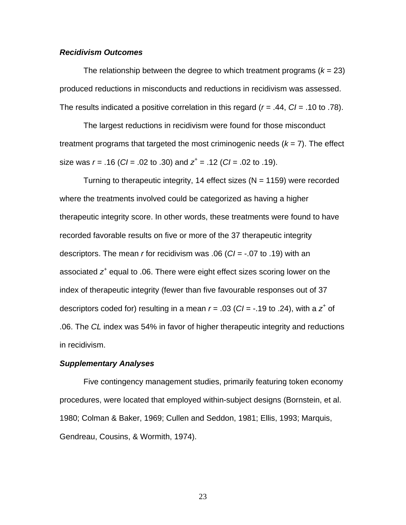#### *Recidivism Outcomes*

The relationship between the degree to which treatment programs  $(k = 23)$ produced reductions in misconducts and reductions in recidivism was assessed. The results indicated a positive correlation in this regard (*r* = .44, *CI* = .10 to .78).

The largest reductions in recidivism were found for those misconduct treatment programs that targeted the most criminogenic needs  $(k = 7)$ . The effect size was *r* = .16 (*CI* = .02 to .30) and *z<sup>+</sup>* = .12 (*CI* = .02 to .19).

Turning to therapeutic integrity, 14 effect sizes ( $N = 1159$ ) were recorded where the treatments involved could be categorized as having a higher therapeutic integrity score. In other words, these treatments were found to have recorded favorable results on five or more of the 37 therapeutic integrity descriptors. The mean *r* for recidivism was .06 (*CI* = -.07 to .19) with an associated *z<sup>+</sup>* equal to .06. There were eight effect sizes scoring lower on the index of therapeutic integrity (fewer than five favourable responses out of 37 descriptors coded for) resulting in a mean  $r = .03$  ( $Cl = -.19$  to .24), with a  $z^*$  of .06. The *CL* index was 54% in favor of higher therapeutic integrity and reductions in recidivism.

#### *Supplementary Analyses*

Five contingency management studies, primarily featuring token economy procedures, were located that employed within-subject designs (Bornstein, et al. 1980; Colman & Baker, 1969; Cullen and Seddon, 1981; Ellis, 1993; Marquis, Gendreau, Cousins, & Wormith, 1974).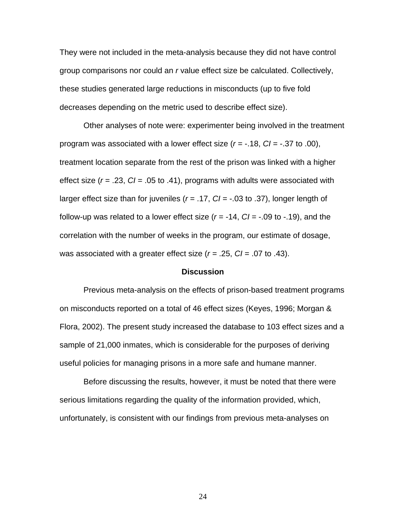They were not included in the meta-analysis because they did not have control group comparisons nor could an *r* value effect size be calculated. Collectively, these studies generated large reductions in misconducts (up to five fold decreases depending on the metric used to describe effect size).

Other analyses of note were: experimenter being involved in the treatment program was associated with a lower effect size (*r* = -.18, *CI* = -.37 to .00), treatment location separate from the rest of the prison was linked with a higher effect size (*r* = .23, *CI* = .05 to .41), programs with adults were associated with larger effect size than for juveniles (*r* = .17, *CI* = -.03 to .37), longer length of follow-up was related to a lower effect size (*r* = -14, *CI* = -.09 to -.19), and the correlation with the number of weeks in the program, our estimate of dosage, was associated with a greater effect size (*r =* .25, *CI* = .07 to .43).

#### **Discussion**

Previous meta-analysis on the effects of prison-based treatment programs on misconducts reported on a total of 46 effect sizes (Keyes, 1996; Morgan & Flora, 2002). The present study increased the database to 103 effect sizes and a sample of 21,000 inmates, which is considerable for the purposes of deriving useful policies for managing prisons in a more safe and humane manner.

Before discussing the results, however, it must be noted that there were serious limitations regarding the quality of the information provided, which, unfortunately, is consistent with our findings from previous meta-analyses on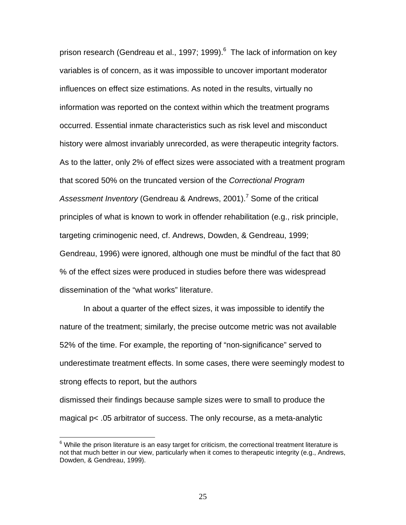prison research (Gendreau et al., 1997; 1999).<sup>[6](#page-26-0)</sup> The lack of information on key variables is of concern, as it was impossible to uncover important moderator influences on effect size estimations. As noted in the results, virtually no information was reported on the context within which the treatment programs occurred. Essential inmate characteristics such as risk level and misconduct history were almost invariably unrecorded, as were therapeutic integrity factors. As to the latter, only 2% of effect sizes were associated with a treatment program that scored 50% on the truncated version of the *Correctional Program*  Assessment Inventory (Gendreau & Andrews, 2001).<sup>[7](#page-26-1)</sup> Some of the critical principles of what is known to work in offender rehabilitation (e.g., risk principle, targeting criminogenic need, cf. Andrews, Dowden, & Gendreau, 1999; Gendreau, 1996) were ignored, although one must be mindful of the fact that 80 % of the effect sizes were produced in studies before there was widespread dissemination of the "what works" literature.

In about a quarter of the effect sizes, it was impossible to identify the nature of the treatment; similarly, the precise outcome metric was not available 52% of the time. For example, the reporting of "non-significance" served to underestimate treatment effects. In some cases, there were seemingly modest to strong effects to report, but the authors

dismissed their findings because sample sizes were to small to produce the magical p< .05 arbitrator of success. The only recourse, as a meta-analytic

 $\overline{a}$ 

<span id="page-26-1"></span><span id="page-26-0"></span> $6$  While the prison literature is an easy target for criticism, the correctional treatment literature is not that much better in our view, particularly when it comes to therapeutic integrity (e.g., Andrews, Dowden, & Gendreau, 1999).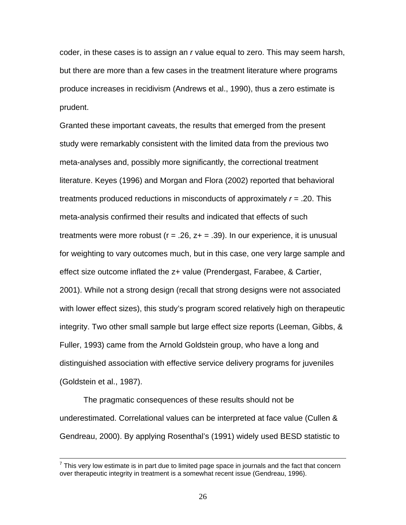coder, in these cases is to assign an *r* value equal to zero. This may seem harsh, but there are more than a few cases in the treatment literature where programs produce increases in recidivism (Andrews et al., 1990), thus a zero estimate is prudent.

Granted these important caveats, the results that emerged from the present study were remarkably consistent with the limited data from the previous two meta-analyses and, possibly more significantly, the correctional treatment literature. Keyes (1996) and Morgan and Flora (2002) reported that behavioral treatments produced reductions in misconducts of approximately *r* = .20. This meta-analysis confirmed their results and indicated that effects of such treatments were more robust ( $r = 0.26$ ,  $z + 1.39$ ). In our experience, it is unusual for weighting to vary outcomes much, but in this case, one very large sample and effect size outcome inflated the z+ value (Prendergast, Farabee, & Cartier, 2001). While not a strong design (recall that strong designs were not associated with lower effect sizes), this study's program scored relatively high on therapeutic integrity. Two other small sample but large effect size reports (Leeman, Gibbs, & Fuller, 1993) came from the Arnold Goldstein group, who have a long and distinguished association with effective service delivery programs for juveniles (Goldstein et al., 1987).

The pragmatic consequences of these results should not be underestimated. Correlational values can be interpreted at face value (Cullen & Gendreau, 2000). By applying Rosenthal's (1991) widely used BESD statistic to

This very low estimate is in part due to limited page space in journals and the fact that concern<br>This very low estimate is in part due to limited page space in journals and the fact that concern over therapeutic integrity in treatment is a somewhat recent issue (Gendreau, 1996).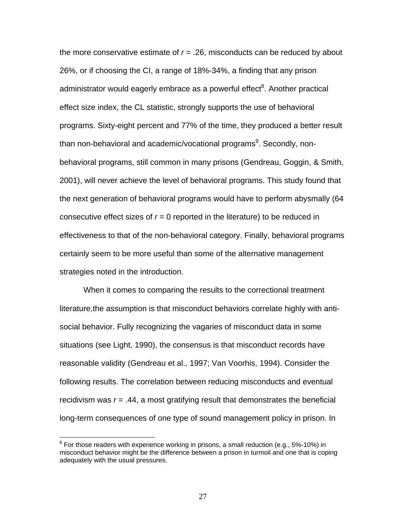the more conservative estimate of *r* = .26, misconducts can be reduced by about 26%, or if choosing the CI, a range of 18%-34%, a finding that any prison administrator would eagerly embrace as a powerful effect<sup>[8](#page-28-0)</sup>. Another practical effect size index, the CL statistic, strongly supports the use of behavioral programs. Sixty-eight percent and 77% of the time, they produced a better result than non-behavioral and academic/vocational programs<sup>[9](#page-28-1)</sup>. Secondly, nonbehavioral programs, still common in many prisons (Gendreau, Goggin, & Smith, 2001), will never achieve the level of behavioral programs. This study found that the next generation of behavioral programs would have to perform abysmally (64 consecutive effect sizes of  $r = 0$  reported in the literature) to be reduced in effectiveness to that of the non-behavioral category. Finally, behavioral programs certainly seem to be more useful than some of the alternative management strategies noted in the introduction.

When it comes to comparing the results to the correctional treatment literature,the assumption is that misconduct behaviors correlate highly with antisocial behavior. Fully recognizing the vagaries of misconduct data in some situations (see Light, 1990), the consensus is that misconduct records have reasonable validity (Gendreau et al., 1997; Van Voorhis, 1994). Consider the following results. The correlation between reducing misconducts and eventual recidivism was *r* = .44, a most gratifying result that demonstrates the beneficial long-term consequences of one type of sound management policy in prison. In

 $\overline{a}$ 

<span id="page-28-1"></span><span id="page-28-0"></span> $8$  For those readers with experience working in prisons, a small reduction (e.g., 5%-10%) in misconduct behavior might be the difference between a prison in turmoil and one that is coping adequately with the usual pressures.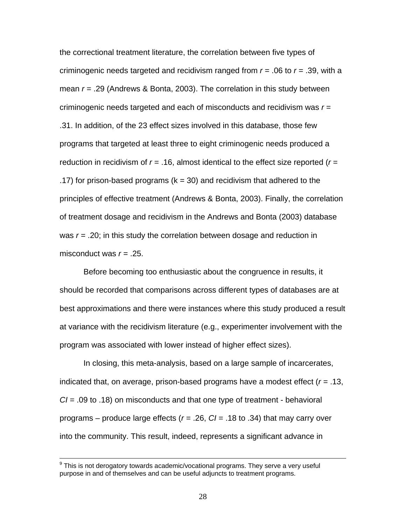the correctional treatment literature, the correlation between five types of criminogenic needs targeted and recidivism ranged from *r* = .06 to *r* = .39, with a mean *r* = .29 (Andrews & Bonta, 2003). The correlation in this study between criminogenic needs targeted and each of misconducts and recidivism was *r* = .31. In addition, of the 23 effect sizes involved in this database, those few programs that targeted at least three to eight criminogenic needs produced a reduction in recidivism of *r* = .16, almost identical to the effect size reported (*r* = .17) for prison-based programs ( $k = 30$ ) and recidivism that adhered to the principles of effective treatment (Andrews & Bonta, 2003). Finally, the correlation of treatment dosage and recidivism in the Andrews and Bonta (2003) database was *r* = .20; in this study the correlation between dosage and reduction in misconduct was *r* = .25.

Before becoming too enthusiastic about the congruence in results, it should be recorded that comparisons across different types of databases are at best approximations and there were instances where this study produced a result at variance with the recidivism literature (e.g., experimenter involvement with the program was associated with lower instead of higher effect sizes).

In closing, this meta-analysis, based on a large sample of incarcerates, indicated that, on average, prison-based programs have a modest effect (*r* = .13, *CI* = .09 to .18) on misconducts and that one type of treatment - behavioral programs – produce large effects (*r* = .26, *CI* = .18 to .34) that may carry over into the community. This result, indeed, represents a significant advance in

9 This is not derogatory towards academic/vocational programs. They serve a very useful purpose in and of themselves and can be useful adjuncts to treatment programs.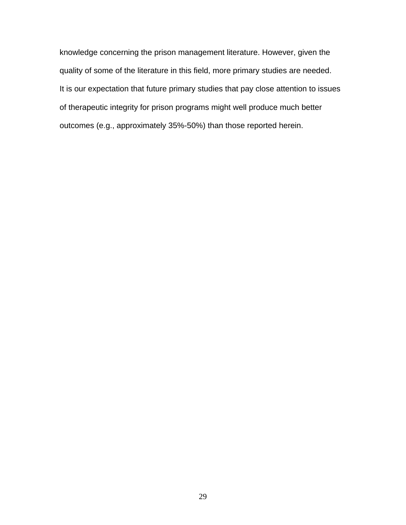knowledge concerning the prison management literature. However, given the quality of some of the literature in this field, more primary studies are needed. It is our expectation that future primary studies that pay close attention to issues of therapeutic integrity for prison programs might well produce much better outcomes (e.g., approximately 35%-50%) than those reported herein.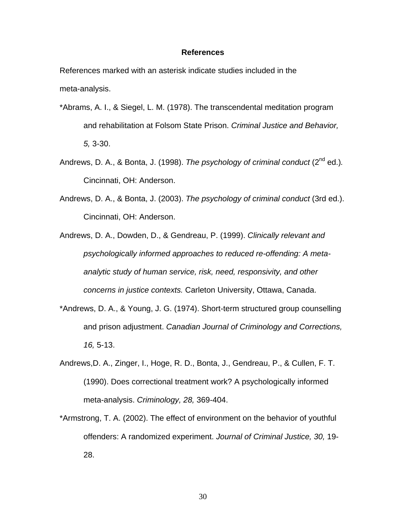#### **References**

References marked with an asterisk indicate studies included in the meta-analysis.

- \*Abrams, A. I., & Siegel, L. M. (1978). The transcendental meditation program and rehabilitation at Folsom State Prison. *Criminal Justice and Behavior, 5,* 3-30.
- Andrews, D. A., & Bonta, J. (1998). *The psychology of criminal conduct* (2nd ed.)*.* Cincinnati, OH: Anderson.
- Andrews, D. A., & Bonta, J. (2003). *The psychology of criminal conduct* (3rd ed.). Cincinnati, OH: Anderson.
- Andrews, D. A., Dowden, D., & Gendreau, P. (1999). *Clinically relevant and psychologically informed approaches to reduced re-offending: A metaanalytic study of human service, risk, need, responsivity, and other concerns in justice contexts.* Carleton University, Ottawa, Canada.
- \*Andrews, D. A., & Young, J. G. (1974). Short-term structured group counselling and prison adjustment. *Canadian Journal of Criminology and Corrections, 16,* 5-13.
- Andrews,D. A., Zinger, I., Hoge, R. D., Bonta, J., Gendreau, P., & Cullen, F. T. (1990). Does correctional treatment work? A psychologically informed meta-analysis. *Criminology, 28,* 369-404.
- \*Armstrong, T. A. (2002). The effect of environment on the behavior of youthful offenders: A randomized experiment. *Journal of Criminal Justice, 30,* 19- 28.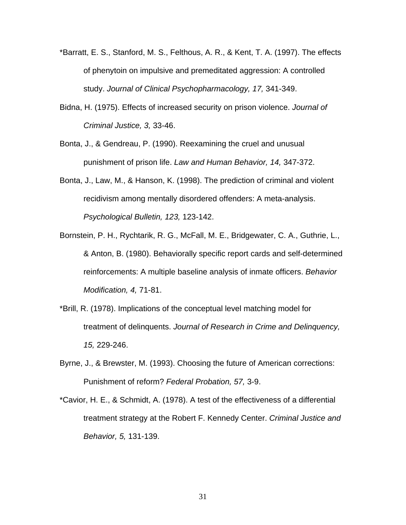- \*Barratt, E. S., Stanford, M. S., Felthous, A. R., & Kent, T. A. (1997). The effects of phenytoin on impulsive and premeditated aggression: A controlled study. *Journal of Clinical Psychopharmacology, 17,* 341-349.
- Bidna, H. (1975). Effects of increased security on prison violence. *Journal of Criminal Justice, 3,* 33-46.
- Bonta, J., & Gendreau, P. (1990). Reexamining the cruel and unusual punishment of prison life. *Law and Human Behavior, 14,* 347-372.
- Bonta, J., Law, M., & Hanson, K. (1998). The prediction of criminal and violent recidivism among mentally disordered offenders: A meta-analysis. *Psychological Bulletin, 123,* 123-142.
- Bornstein, P. H., Rychtarik, R. G., McFall, M. E., Bridgewater, C. A., Guthrie, L., & Anton, B. (1980). Behaviorally specific report cards and self-determined reinforcements: A multiple baseline analysis of inmate officers. *Behavior Modification, 4,* 71-81.
- \*Brill, R. (1978). Implications of the conceptual level matching model for treatment of delinquents. *Journal of Research in Crime and Delinquency, 15,* 229-246.
- Byrne, J., & Brewster, M. (1993). Choosing the future of American corrections: Punishment of reform? *Federal Probation, 57,* 3-9.
- \*Cavior, H. E., & Schmidt, A. (1978). A test of the effectiveness of a differential treatment strategy at the Robert F. Kennedy Center. *Criminal Justice and Behavior, 5,* 131-139.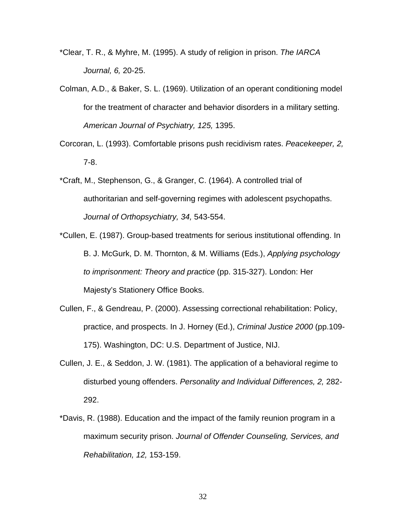- \*Clear, T. R., & Myhre, M. (1995). A study of religion in prison. *The IARCA Journal, 6,* 20-25.
- Colman, A.D., & Baker, S. L. (1969). Utilization of an operant conditioning model for the treatment of character and behavior disorders in a military setting. *American Journal of Psychiatry, 125,* 1395.
- Corcoran, L. (1993). Comfortable prisons push recidivism rates. *Peacekeeper, 2,* 7-8.
- \*Craft, M., Stephenson, G., & Granger, C. (1964). A controlled trial of authoritarian and self-governing regimes with adolescent psychopaths. *Journal of Orthopsychiatry, 34,* 543-554.
- \*Cullen, E. (1987). Group-based treatments for serious institutional offending. In B. J. McGurk, D. M. Thornton, & M. Williams (Eds.), *Applying psychology to imprisonment: Theory and practice* (pp. 315-327). London: Her Majesty's Stationery Office Books.
- Cullen, F., & Gendreau, P. (2000). Assessing correctional rehabilitation: Policy, practice, and prospects. In J. Horney (Ed.), *Criminal Justice 2000* (pp.109- 175). Washington, DC: U.S. Department of Justice, NIJ.
- Cullen, J. E., & Seddon, J. W. (1981). The application of a behavioral regime to disturbed young offenders. *Personality and Individual Differences, 2,* 282- 292.
- \*Davis, R. (1988). Education and the impact of the family reunion program in a maximum security prison. *Journal of Offender Counseling, Services, and Rehabilitation, 12,* 153-159.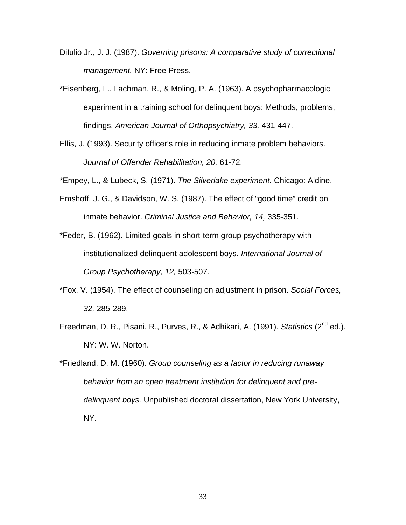- DiIulio Jr., J. J. (1987). *Governing prisons: A comparative study of correctional management.* NY: Free Press.
- \*Eisenberg, L., Lachman, R., & Moling, P. A. (1963). A psychopharmacologic experiment in a training school for delinquent boys: Methods, problems, findings. *American Journal of Orthopsychiatry, 33,* 431-447.
- Ellis, J. (1993). Security officer's role in reducing inmate problem behaviors. *Journal of Offender Rehabilitation, 20,* 61-72.

\*Empey, L., & Lubeck, S. (1971). *The Silverlake experiment.* Chicago: Aldine.

- Emshoff, J. G., & Davidson, W. S. (1987). The effect of "good time" credit on inmate behavior. *Criminal Justice and Behavior, 14,* 335-351.
- \*Feder, B. (1962). Limited goals in short-term group psychotherapy with institutionalized delinquent adolescent boys. *International Journal of Group Psychotherapy, 12,* 503-507.
- \*Fox, V. (1954). The effect of counseling on adjustment in prison. *Social Forces, 32,* 285-289.
- Freedman, D. R., Pisani, R., Purves, R., & Adhikari, A. (1991). *Statistics* (2nd ed.). NY: W. W. Norton.
- \*Friedland, D. M. (1960). *Group counseling as a factor in reducing runaway behavior from an open treatment institution for delinquent and predelinquent boys.* Unpublished doctoral dissertation, New York University, NY.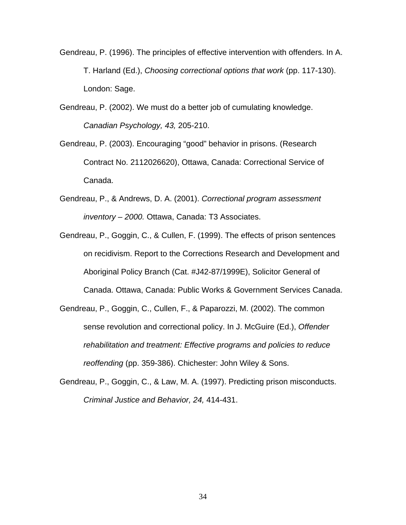- Gendreau, P. (1996). The principles of effective intervention with offenders. In A. T. Harland (Ed.), *Choosing correctional options that work* (pp. 117-130). London: Sage.
- Gendreau, P. (2002). We must do a better job of cumulating knowledge. *Canadian Psychology, 43,* 205-210.
- Gendreau, P. (2003). Encouraging "good" behavior in prisons. (Research Contract No. 2112026620), Ottawa, Canada: Correctional Service of Canada.
- Gendreau, P., & Andrews, D. A. (2001). *Correctional program assessment inventory – 2000.* Ottawa, Canada: T3 Associates.
- Gendreau, P., Goggin, C., & Cullen, F. (1999). The effects of prison sentences on recidivism. Report to the Corrections Research and Development and Aboriginal Policy Branch (Cat. #J42-87/1999E), Solicitor General of Canada. Ottawa, Canada: Public Works & Government Services Canada.
- Gendreau, P., Goggin, C., Cullen, F., & Paparozzi, M. (2002). The common sense revolution and correctional policy. In J. McGuire (Ed.), *Offender rehabilitation and treatment: Effective programs and policies to reduce reoffending* (pp. 359-386). Chichester: John Wiley & Sons.
- Gendreau, P., Goggin, C., & Law, M. A. (1997). Predicting prison misconducts. *Criminal Justice and Behavior, 24,* 414-431.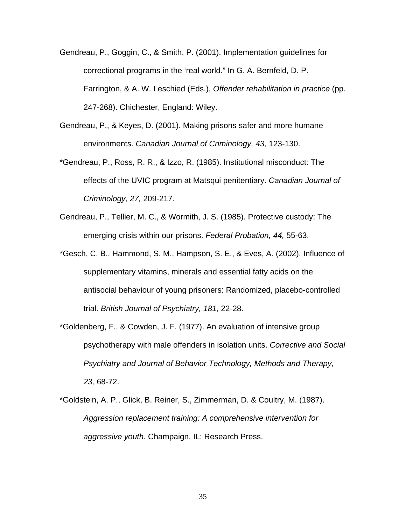- Gendreau, P., Goggin, C., & Smith, P. (2001). Implementation guidelines for correctional programs in the 'real world." In G. A. Bernfeld, D. P. Farrington, & A. W. Leschied (Eds.), *Offender rehabilitation in practice* (pp. 247-268). Chichester, England: Wiley.
- Gendreau, P., & Keyes, D. (2001). Making prisons safer and more humane environments. *Canadian Journal of Criminology, 43,* 123-130.
- \*Gendreau, P., Ross, R. R., & Izzo, R. (1985). Institutional misconduct: The effects of the UVIC program at Matsqui penitentiary. *Canadian Journal of Criminology, 27,* 209-217.
- Gendreau, P., Tellier, M. C., & Wormith, J. S. (1985). Protective custody: The emerging crisis within our prisons. *Federal Probation, 44,* 55-63.
- \*Gesch, C. B., Hammond, S. M., Hampson, S. E., & Eves, A. (2002). Influence of supplementary vitamins, minerals and essential fatty acids on the antisocial behaviour of young prisoners: Randomized, placebo-controlled trial. *British Journal of Psychiatry, 181,* 22-28.
- \*Goldenberg, F., & Cowden, J. F. (1977). An evaluation of intensive group psychotherapy with male offenders in isolation units. *Corrective and Social Psychiatry and Journal of Behavior Technology, Methods and Therapy, 23,* 68-72.
- \*Goldstein, A. P., Glick, B. Reiner, S., Zimmerman, D. & Coultry, M. (1987). *Aggression replacement training: A comprehensive intervention for aggressive youth.* Champaign, IL: Research Press.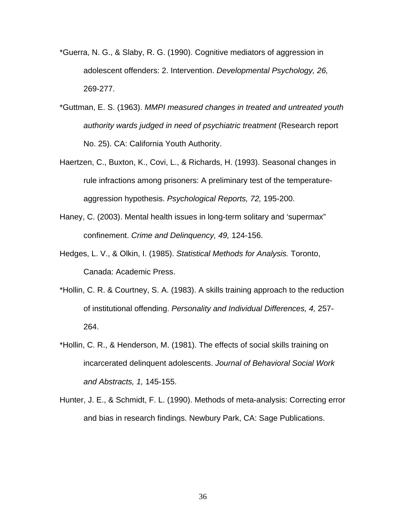- \*Guerra, N. G., & Slaby, R. G. (1990). Cognitive mediators of aggression in adolescent offenders: 2. Intervention. *Developmental Psychology, 26,*  269-277.
- \*Guttman, E. S. (1963). *MMPI measured changes in treated and untreated youth authority wards judged in need of psychiatric treatment* (Research report No. 25). CA: California Youth Authority.
- Haertzen, C., Buxton, K., Covi, L., & Richards, H. (1993). Seasonal changes in rule infractions among prisoners: A preliminary test of the temperatureaggression hypothesis. *Psychological Reports, 72,* 195-200.
- Haney, C. (2003). Mental health issues in long-term solitary and 'supermax" confinement. *Crime and Delinquency, 49,* 124-156.
- Hedges, L. V., & Olkin, I. (1985). *Statistical Methods for Analysis.* Toronto, Canada: Academic Press.
- \*Hollin, C. R. & Courtney, S. A. (1983). A skills training approach to the reduction of institutional offending. *Personality and Individual Differences, 4,* 257- 264.
- \*Hollin, C. R., & Henderson, M. (1981). The effects of social skills training on incarcerated delinquent adolescents. *Journal of Behavioral Social Work and Abstracts, 1,* 145-155.
- Hunter, J. E., & Schmidt, F. L. (1990). Methods of meta-analysis: Correcting error and bias in research findings. Newbury Park, CA: Sage Publications.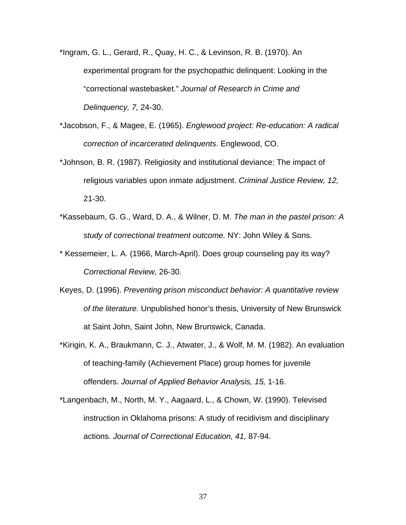- \*Ingram, G. L., Gerard, R., Quay, H. C., & Levinson, R. B. (1970). An experimental program for the psychopathic delinquent: Looking in the "correctional wastebasket." *Journal of Research in Crime and Delinquency, 7,* 24-30.
- \*Jacobson, F., & Magee, E. (1965). *Englewood project: Re-education: A radical correction of incarcerated delinquents*. Englewood, CO.
- \*Johnson, B. R. (1987). Religiosity and institutional deviance: The impact of religious variables upon inmate adjustment. *Criminal Justice Review, 12,* 21-30.
- \*Kassebaum, G. G., Ward, D. A., & Wilner, D. M. *The man in the pastel prison: A study of correctional treatment outcome.* NY: John Wiley & Sons.
- \* Kessemeier, L. A. (1966, March-April). Does group counseling pay its way? *Correctional Review,* 26-30.
- Keyes, D. (1996). *Preventing prison misconduct behavior: A quantitative review of the literature.* Unpublished honor's thesis, University of New Brunswick at Saint John, Saint John, New Brunswick, Canada.
- \*Kirigin, K. A., Braukmann, C. J., Atwater, J., & Wolf, M. M. (1982). An evaluation of teaching-family (Achievement Place) group homes for juvenile offenders. *Journal of Applied Behavior Analysis, 15,* 1-16.
- \*Langenbach, M., North, M. Y., Aagaard, L., & Chown, W. (1990). Televised instruction in Oklahoma prisons: A study of recidivism and disciplinary actions. *Journal of Correctional Education, 41,* 87-94.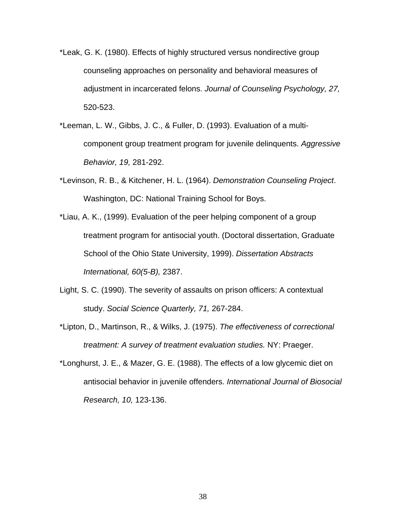- \*Leak, G. K. (1980). Effects of highly structured versus nondirective group counseling approaches on personality and behavioral measures of adjustment in incarcerated felons. *Journal of Counseling Psychology, 27,* 520-523.
- \*Leeman, L. W., Gibbs, J. C., & Fuller, D. (1993). Evaluation of a multicomponent group treatment program for juvenile delinquents. *Aggressive Behavior, 19,* 281-292.
- \*Levinson, R. B., & Kitchener, H. L. (1964). *Demonstration Counseling Project*. Washington, DC: National Training School for Boys.
- \*Liau, A. K., (1999). Evaluation of the peer helping component of a group treatment program for antisocial youth. (Doctoral dissertation, Graduate School of the Ohio State University, 1999). *Dissertation Abstracts International, 60(5-B),* 2387.
- Light, S. C. (1990). The severity of assaults on prison officers: A contextual study. *Social Science Quarterly, 71,* 267-284.
- \*Lipton, D., Martinson, R., & Wilks, J. (1975). *The effectiveness of correctional treatment: A survey of treatment evaluation studies.* NY: Praeger.
- \*Longhurst, J. E., & Mazer, G. E. (1988). The effects of a low glycemic diet on antisocial behavior in juvenile offenders. *International Journal of Biosocial Research, 10,* 123-136.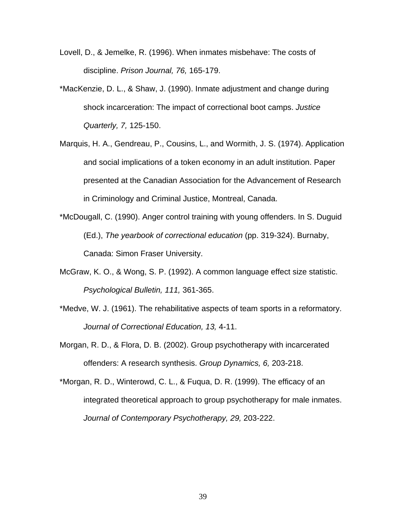- Lovell, D., & Jemelke, R. (1996). When inmates misbehave: The costs of discipline. *Prison Journal, 76,* 165-179.
- \*MacKenzie, D. L., & Shaw, J. (1990). Inmate adjustment and change during shock incarceration: The impact of correctional boot camps. *Justice Quarterly, 7,* 125-150.
- Marquis, H. A., Gendreau, P., Cousins, L., and Wormith, J. S. (1974). Application and social implications of a token economy in an adult institution. Paper presented at the Canadian Association for the Advancement of Research in Criminology and Criminal Justice, Montreal, Canada.
- \*McDougall, C. (1990). Anger control training with young offenders. In S. Duguid (Ed.), *The yearbook of correctional education* (pp. 319-324). Burnaby, Canada: Simon Fraser University.
- McGraw, K. O., & Wong, S. P. (1992). A common language effect size statistic. *Psychological Bulletin, 111,* 361-365.
- \*Medve, W. J. (1961). The rehabilitative aspects of team sports in a reformatory. *Journal of Correctional Education, 13,* 4-11.
- Morgan, R. D., & Flora, D. B. (2002). Group psychotherapy with incarcerated offenders: A research synthesis. *Group Dynamics, 6,* 203-218.
- \*Morgan, R. D., Winterowd, C. L., & Fuqua, D. R. (1999). The efficacy of an integrated theoretical approach to group psychotherapy for male inmates. *Journal of Contemporary Psychotherapy, 29,* 203-222.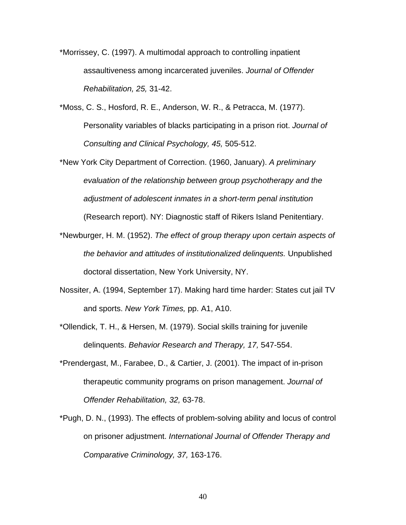\*Morrissey, C. (1997). A multimodal approach to controlling inpatient assaultiveness among incarcerated juveniles. *Journal of Offender Rehabilitation, 25,* 31-42.

- \*Moss, C. S., Hosford, R. E., Anderson, W. R., & Petracca, M. (1977). Personality variables of blacks participating in a prison riot. *Journal of Consulting and Clinical Psychology, 45,* 505-512.
- \*New York City Department of Correction. (1960, January). *A preliminary evaluation of the relationship between group psychotherapy and the adjustment of adolescent inmates in a short-term penal institution* (Research report). NY: Diagnostic staff of Rikers Island Penitentiary.
- \*Newburger, H. M. (1952). *The effect of group therapy upon certain aspects of the behavior and attitudes of institutionalized delinquents.* Unpublished doctoral dissertation, New York University, NY.
- Nossiter, A. (1994, September 17). Making hard time harder: States cut jail TV and sports. *New York Times,* pp. A1, A10.
- \*Ollendick, T. H., & Hersen, M. (1979). Social skills training for juvenile delinquents. *Behavior Research and Therapy, 17,* 547-554.
- \*Prendergast, M., Farabee, D., & Cartier, J. (2001). The impact of in-prison therapeutic community programs on prison management. *Journal of Offender Rehabilitation, 32,* 63-78.
- \*Pugh, D. N., (1993). The effects of problem-solving ability and locus of control on prisoner adjustment. *International Journal of Offender Therapy and Comparative Criminology, 37,* 163-176.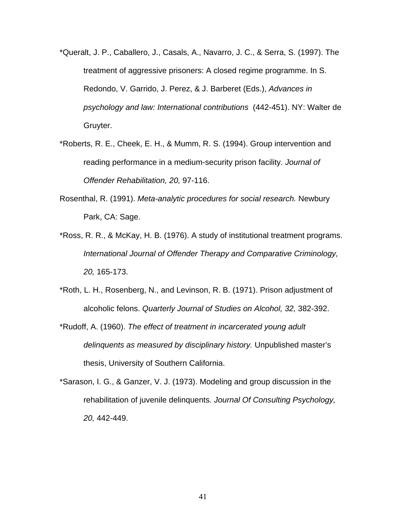- \*Queralt, J. P., Caballero, J., Casals, A., Navarro, J. C., & Serra, S. (1997). The treatment of aggressive prisoners: A closed regime programme. In S. Redondo, V. Garrido, J. Perez, & J. Barberet (Eds.), *Advances in psychology and law: International contributions* (442-451). NY: Walter de Gruyter.
- \*Roberts, R. E., Cheek, E. H., & Mumm, R. S. (1994). Group intervention and reading performance in a medium-security prison facility. *Journal of Offender Rehabilitation, 20,* 97-116.
- Rosenthal, R. (1991). *Meta-analytic procedures for social research.* Newbury Park, CA: Sage.
- \*Ross, R. R., & McKay, H. B. (1976). A study of institutional treatment programs. *International Journal of Offender Therapy and Comparative Criminology, 20,* 165-173.
- \*Roth, L. H., Rosenberg, N., and Levinson, R. B. (1971). Prison adjustment of alcoholic felons. *Quarterly Journal of Studies on Alcohol, 32,* 382-392.
- \*Rudoff, A. (1960). *The effect of treatment in incarcerated young adult delinquents as measured by disciplinary history.* Unpublished master's thesis, University of Southern California.
- \*Sarason, I. G., & Ganzer, V. J. (1973). Modeling and group discussion in the rehabilitation of juvenile delinquents. *Journal Of Consulting Psychology, 20,* 442-449.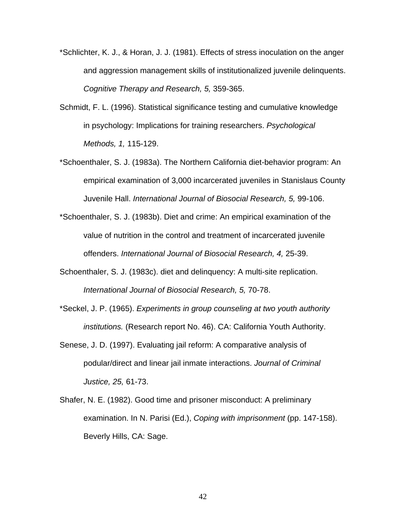- \*Schlichter, K. J., & Horan, J. J. (1981). Effects of stress inoculation on the anger and aggression management skills of institutionalized juvenile delinquents. *Cognitive Therapy and Research, 5,* 359-365.
- Schmidt, F. L. (1996). Statistical significance testing and cumulative knowledge in psychology: Implications for training researchers. *Psychological Methods, 1,* 115-129.
- \*Schoenthaler, S. J. (1983a). The Northern California diet-behavior program: An empirical examination of 3,000 incarcerated juveniles in Stanislaus County Juvenile Hall. *International Journal of Biosocial Research, 5,* 99-106.
- \*Schoenthaler, S. J. (1983b). Diet and crime: An empirical examination of the value of nutrition in the control and treatment of incarcerated juvenile offenders. *International Journal of Biosocial Research, 4,* 25-39.
- Schoenthaler, S. J. (1983c). diet and delinquency: A multi-site replication. *International Journal of Biosocial Research, 5,* 70-78.
- \*Seckel, J. P. (1965). *Experiments in group counseling at two youth authority institutions.* (Research report No. 46). CA: California Youth Authority.
- Senese, J. D. (1997). Evaluating jail reform: A comparative analysis of podular/direct and linear jail inmate interactions. *Journal of Criminal Justice, 25,* 61-73.
- Shafer, N. E. (1982). Good time and prisoner misconduct: A preliminary examination. In N. Parisi (Ed.), *Coping with imprisonment* (pp. 147-158). Beverly Hills, CA: Sage.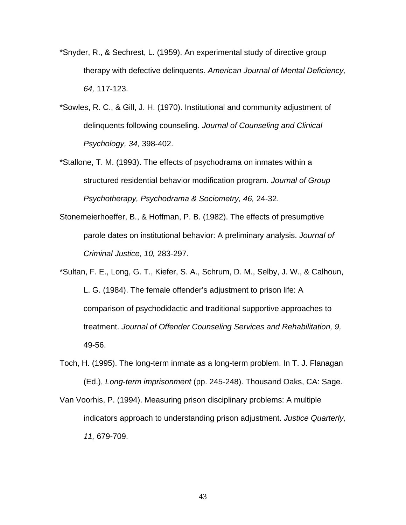- \*Snyder, R., & Sechrest, L. (1959). An experimental study of directive group therapy with defective delinquents. *American Journal of Mental Deficiency, 64,* 117-123.
- \*Sowles, R. C., & Gill, J. H. (1970). Institutional and community adjustment of delinquents following counseling. *Journal of Counseling and Clinical Psychology, 34,* 398-402.
- \*Stallone, T. M. (1993). The effects of psychodrama on inmates within a structured residential behavior modification program. *Journal of Group Psychotherapy, Psychodrama & Sociometry, 46,* 24-32.
- Stonemeierhoeffer, B., & Hoffman, P. B. (1982). The effects of presumptive parole dates on institutional behavior: A preliminary analysis. *Journal of Criminal Justice, 10,* 283-297.
- \*Sultan, F. E., Long, G. T., Kiefer, S. A., Schrum, D. M., Selby, J. W., & Calhoun, L. G. (1984). The female offender's adjustment to prison life: A comparison of psychodidactic and traditional supportive approaches to treatment. *Journal of Offender Counseling Services and Rehabilitation, 9,*  49-56.
- Toch, H. (1995). The long-term inmate as a long-term problem. In T. J. Flanagan (Ed.), *Long-term imprisonment* (pp. 245-248). Thousand Oaks, CA: Sage.
- Van Voorhis, P. (1994). Measuring prison disciplinary problems: A multiple indicators approach to understanding prison adjustment. *Justice Quarterly, 11,* 679-709.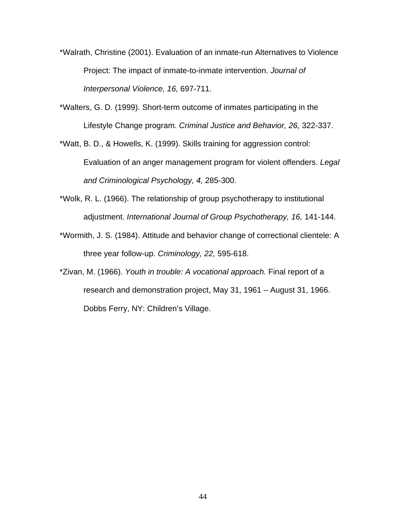- \*Walrath, Christine (2001). Evaluation of an inmate-run Alternatives to Violence Project: The impact of inmate-to-inmate intervention. *Journal of Interpersonal Violence, 16,* 697-711.
- \*Walters, G. D. (1999). Short-term outcome of inmates participating in the Lifestyle Change program. *Criminal Justice and Behavior, 26,* 322-337.
- \*Watt, B. D., & Howells, K. (1999). Skills training for aggression control: Evaluation of an anger management program for violent offenders. *Legal and Criminological Psychology, 4,* 285-300.
- \*Wolk, R. L. (1966). The relationship of group psychotherapy to institutional adjustment. *International Journal of Group Psychotherapy, 16,* 141-144.
- \*Wormith, J. S. (1984). Attitude and behavior change of correctional clientele: A three year follow-up. *Criminology, 22,* 595-618.
- \*Zivan, M. (1966). *Youth in trouble: A vocational approach.* Final report of a research and demonstration project, May 31, 1961 – August 31, 1966. Dobbs Ferry, NY: Children's Village.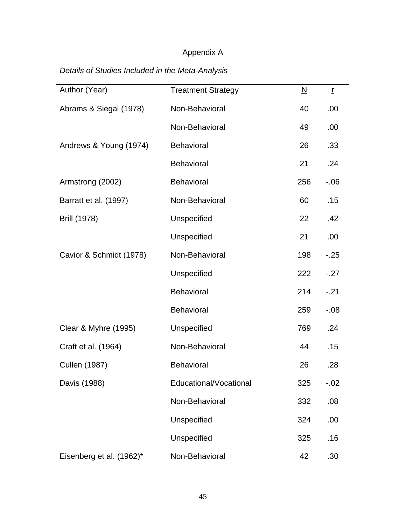# Appendix A

# *Details of Studies Included in the Meta-Analysis*

| Author (Year)            | <b>Treatment Strategy</b> | $\underline{\mathsf{N}}$ | $\mathbf{r}$ |
|--------------------------|---------------------------|--------------------------|--------------|
| Abrams & Siegal (1978)   | Non-Behavioral            | 40                       | .00          |
|                          | Non-Behavioral            | 49                       | .00          |
| Andrews & Young (1974)   | <b>Behavioral</b>         | 26                       | .33          |
|                          | <b>Behavioral</b>         | 21                       | .24          |
| Armstrong (2002)         | Behavioral                | 256                      | $-0.06$      |
| Barratt et al. (1997)    | Non-Behavioral            | 60                       | .15          |
| <b>Brill (1978)</b>      | Unspecified               | 22                       | .42          |
|                          | Unspecified               | 21                       | .00.         |
| Cavior & Schmidt (1978)  | Non-Behavioral            | 198                      | $-25$        |
|                          | Unspecified               | 222                      | $-.27$       |
|                          | Behavioral                | 214                      | $-.21$       |
|                          | <b>Behavioral</b>         | 259                      | $-0.08$      |
| Clear & Myhre (1995)     | Unspecified               | 769                      | .24          |
| Craft et al. (1964)      | Non-Behavioral            | 44                       | .15          |
| <b>Cullen (1987)</b>     | Behavioral                | 26                       | .28          |
| Davis (1988)             | Educational/Vocational    | 325                      | $-.02$       |
|                          | Non-Behavioral            | 332                      | .08          |
|                          | Unspecified               | 324                      | .00.         |
|                          | Unspecified               | 325                      | .16          |
| Eisenberg et al. (1962)* | Non-Behavioral            | 42                       | .30          |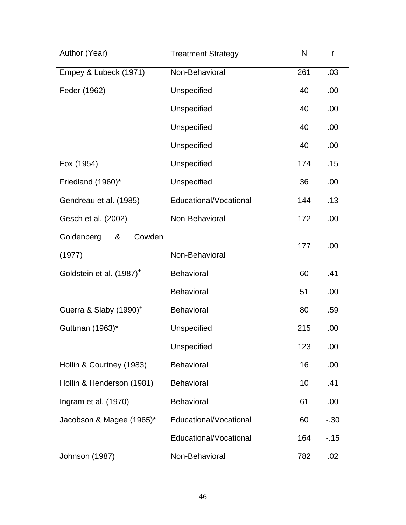| Author (Year)                        | <b>Treatment Strategy</b> | $\underline{\mathsf{N}}$ | $\mathbf{r}$ |
|--------------------------------------|---------------------------|--------------------------|--------------|
| Empey & Lubeck (1971)                | Non-Behavioral            | 261                      | .03          |
| Feder (1962)                         | Unspecified               | 40                       | .00.         |
|                                      | Unspecified               | 40                       | .00.         |
|                                      | Unspecified               | 40                       | .00          |
|                                      | Unspecified               | 40                       | .00          |
| Fox (1954)                           | Unspecified               | 174                      | .15          |
| Friedland (1960)*                    | Unspecified               | 36                       | .00          |
| Gendreau et al. (1985)               | Educational/Vocational    | 144                      | .13          |
| Gesch et al. (2002)                  | Non-Behavioral            | 172                      | .00          |
| Goldenberg<br>&<br>Cowden            |                           |                          |              |
| (1977)                               | Non-Behavioral            | 177                      | .00          |
| Goldstein et al. (1987) <sup>+</sup> | <b>Behavioral</b>         | 60                       | .41          |
|                                      | <b>Behavioral</b>         | 51                       | .00.         |
| Guerra & Slaby (1990) <sup>+</sup>   | <b>Behavioral</b>         | 80                       | .59          |
| Guttman (1963)*                      | Unspecified               | 215                      | .00          |
|                                      | Unspecified               | 123                      | .00          |
| Hollin & Courtney (1983)             | Behavioral                | 16                       | .00          |
| Hollin & Henderson (1981)            | <b>Behavioral</b>         | 10                       | .41          |
| Ingram et al. (1970)                 | <b>Behavioral</b>         | 61                       | .00          |
| Jacobson & Magee (1965)*             | Educational/Vocational    | 60                       | $-.30$       |
|                                      | Educational/Vocational    | 164                      | $-15$        |
| Johnson (1987)                       | Non-Behavioral            | 782                      | .02          |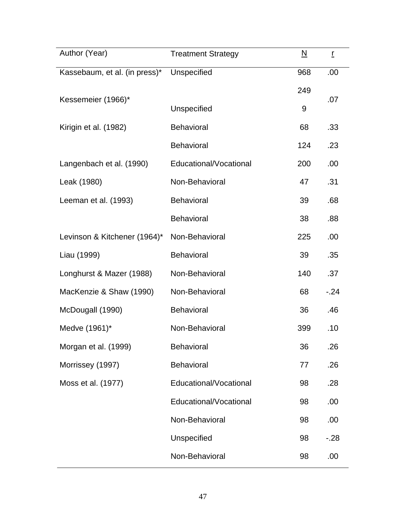| Author (Year)                 | <b>Treatment Strategy</b> | $\underline{\mathsf{N}}$ | ŗ      |
|-------------------------------|---------------------------|--------------------------|--------|
| Kassebaum, et al. (in press)* | Unspecified               | 968                      | .00    |
| Kessemeier (1966)*            |                           | 249                      | .07    |
|                               | Unspecified               | 9                        |        |
| Kirigin et al. (1982)         | <b>Behavioral</b>         | 68                       | .33    |
|                               | <b>Behavioral</b>         | 124                      | .23    |
| Langenbach et al. (1990)      | Educational/Vocational    | 200                      | .00    |
| Leak (1980)                   | Non-Behavioral            | 47                       | .31    |
| Leeman et al. (1993)          | Behavioral                | 39                       | .68    |
|                               | <b>Behavioral</b>         | 38                       | .88    |
| Levinson & Kitchener (1964)*  | Non-Behavioral            | 225                      | .00    |
| Liau (1999)                   | <b>Behavioral</b>         | 39                       | .35    |
| Longhurst & Mazer (1988)      | Non-Behavioral            | 140                      | .37    |
| MacKenzie & Shaw (1990)       | Non-Behavioral            | 68                       | $-24$  |
| McDougall (1990)              | Behavioral                | 36                       | .46    |
| Medve (1961)*                 | Non-Behavioral            | 399                      | .10    |
| Morgan et al. (1999)          | <b>Behavioral</b>         | 36                       | .26    |
| Morrissey (1997)              | Behavioral                | 77                       | .26    |
| Moss et al. (1977)            | Educational/Vocational    | 98                       | .28    |
|                               | Educational/Vocational    | 98                       | .00    |
|                               | Non-Behavioral            | 98                       | .00    |
|                               | Unspecified               | 98                       | $-.28$ |
|                               | Non-Behavioral            | 98                       | .00    |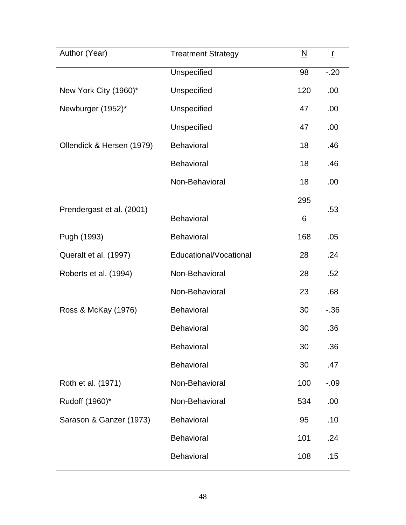| Author (Year)             | <b>Treatment Strategy</b> | $\underline{\mathsf{N}}$ | $\underline{\textbf{r}}$ |
|---------------------------|---------------------------|--------------------------|--------------------------|
|                           | Unspecified               | 98                       | $-20$                    |
| New York City (1960)*     | Unspecified               | 120                      | .00                      |
| Newburger (1952)*         | Unspecified               | 47                       | .00                      |
|                           | Unspecified               | 47                       | .00.                     |
| Ollendick & Hersen (1979) | <b>Behavioral</b>         | 18                       | .46                      |
|                           | <b>Behavioral</b>         | 18                       | .46                      |
|                           | Non-Behavioral            | 18                       | .00                      |
|                           |                           | 295                      |                          |
| Prendergast et al. (2001) | <b>Behavioral</b>         | 6                        | .53                      |
| Pugh (1993)               | Behavioral                | 168                      | .05                      |
| Queralt et al. (1997)     | Educational/Vocational    | 28                       | .24                      |
| Roberts et al. (1994)     | Non-Behavioral            | 28                       | .52                      |
|                           | Non-Behavioral            | 23                       | .68                      |
| Ross & McKay (1976)       | <b>Behavioral</b>         | 30                       | $-0.36$                  |
|                           | <b>Behavioral</b>         | 30                       | .36                      |
|                           | Behavioral                | 30                       | .36                      |
|                           | <b>Behavioral</b>         | 30                       | .47                      |
| Roth et al. (1971)        | Non-Behavioral            | 100                      | $-.09$                   |
| Rudoff (1960)*            | Non-Behavioral            | 534                      | .00.                     |
| Sarason & Ganzer (1973)   | <b>Behavioral</b>         | 95                       | .10                      |
|                           | <b>Behavioral</b>         | 101                      | .24                      |
|                           | <b>Behavioral</b>         | 108                      | .15                      |
|                           |                           |                          |                          |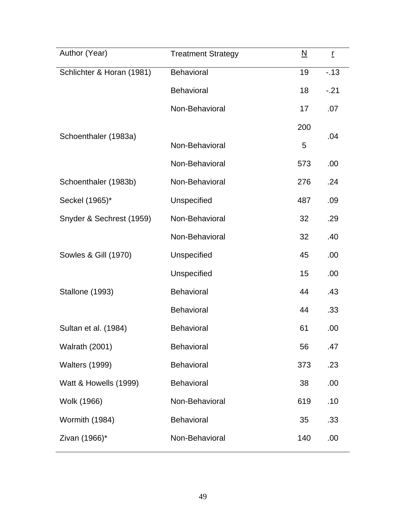| Author (Year)             | <b>Treatment Strategy</b> | $\underline{\mathsf{N}}$ | $\overline{L}$ |
|---------------------------|---------------------------|--------------------------|----------------|
| Schlichter & Horan (1981) | Behavioral                | 19                       | $-13$          |
|                           | <b>Behavioral</b>         | 18                       | $-.21$         |
|                           | Non-Behavioral            | 17                       | .07            |
| Schoenthaler (1983a)      |                           | 200                      | .04            |
|                           | Non-Behavioral            | 5                        |                |
|                           | Non-Behavioral            | 573                      | .00            |
| Schoenthaler (1983b)      | Non-Behavioral            | 276                      | .24            |
| Seckel (1965)*            | Unspecified               | 487                      | .09            |
| Snyder & Sechrest (1959)  | Non-Behavioral            | 32                       | .29            |
|                           | Non-Behavioral            | 32                       | .40            |
| Sowles & Gill (1970)      | Unspecified               | 45                       | .00            |
|                           | Unspecified               | 15                       | .00            |
| Stallone (1993)           | <b>Behavioral</b>         | 44                       | .43            |
|                           | Behavioral                | 44                       | .33            |
| Sultan et al. (1984)      | <b>Behavioral</b>         | 61                       | .00            |
| <b>Walrath (2001)</b>     | <b>Behavioral</b>         | 56                       | .47            |
| <b>Walters (1999)</b>     | Behavioral                | 373                      | .23            |
| Watt & Howells (1999)     | <b>Behavioral</b>         | 38                       | .00            |
| Wolk (1966)               | Non-Behavioral            | 619                      | .10            |
| Wormith (1984)            | Behavioral                | 35                       | .33            |
| Zivan (1966)*             | Non-Behavioral            | 140                      | .00            |
|                           |                           |                          |                |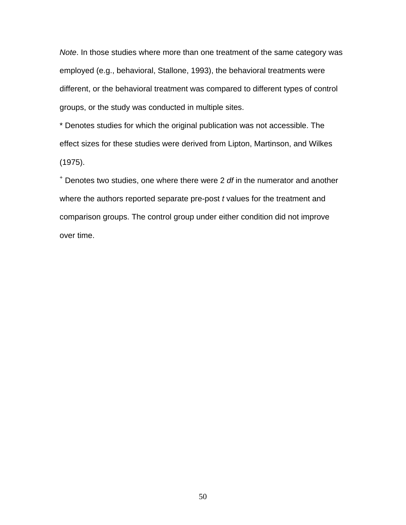*Note*. In those studies where more than one treatment of the same category was employed (e.g., behavioral, Stallone, 1993), the behavioral treatments were different, or the behavioral treatment was compared to different types of control groups, or the study was conducted in multiple sites.

\* Denotes studies for which the original publication was not accessible. The effect sizes for these studies were derived from Lipton, Martinson, and Wilkes (1975).

+ Denotes two studies, one where there were 2 *df* in the numerator and another where the authors reported separate pre-post *t* values for the treatment and comparison groups. The control group under either condition did not improve over time.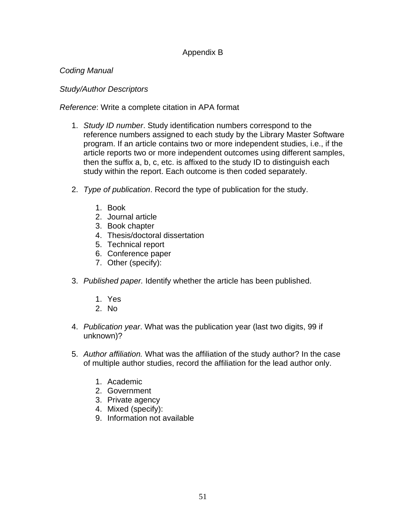# Appendix B

# *Coding Manual*

# *Study/Author Descriptors*

# *Reference*: Write a complete citation in APA format

- 1. *Study ID number*. Study identification numbers correspond to the reference numbers assigned to each study by the Library Master Software program. If an article contains two or more independent studies, i.e., if the article reports two or more independent outcomes using different samples, then the suffix a, b, c, etc. is affixed to the study ID to distinguish each study within the report. Each outcome is then coded separately.
- 2. *Type of publication*. Record the type of publication for the study.
	- 1. Book
	- 2. Journal article
	- 3. Book chapter
	- 4. Thesis/doctoral dissertation
	- 5. Technical report
	- 6. Conference paper
	- 7. Other (specify):
- 3. *Published paper.* Identify whether the article has been published.
	- 1. Yes
	- 2. No
- 4. *Publication year*. What was the publication year (last two digits, 99 if unknown)?
- 5. *Author affiliation.* What was the affiliation of the study author? In the case of multiple author studies, record the affiliation for the lead author only.
	- 1. Academic
	- 2. Government
	- 3. Private agency
	- 4. Mixed (specify):
	- 9. Information not available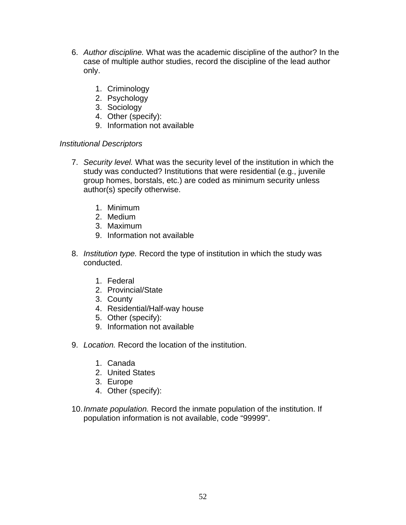- 6. *Author discipline.* What was the academic discipline of the author? In the case of multiple author studies, record the discipline of the lead author only.
	- 1. Criminology
	- 2. Psychology
	- 3. Sociology
	- 4. Other (specify):
	- 9. Information not available

# *Institutional Descriptors*

- 7. *Security level.* What was the security level of the institution in which the study was conducted? Institutions that were residential (e.g., juvenile group homes, borstals, etc.) are coded as minimum security unless author(s) specify otherwise.
	- 1. Minimum
	- 2. Medium
	- 3. Maximum
	- 9. Information not available
- 8. *Institution type.* Record the type of institution in which the study was conducted.
	- 1. Federal
	- 2. Provincial/State
	- 3. County
	- 4. Residential/Half-way house
	- 5. Other (specify):
	- 9. Information not available
- 9. *Location.* Record the location of the institution.
	- 1. Canada
	- 2. United States
	- 3. Europe
	- 4. Other (specify):
- 10. *Inmate population.* Record the inmate population of the institution. If population information is not available, code "99999".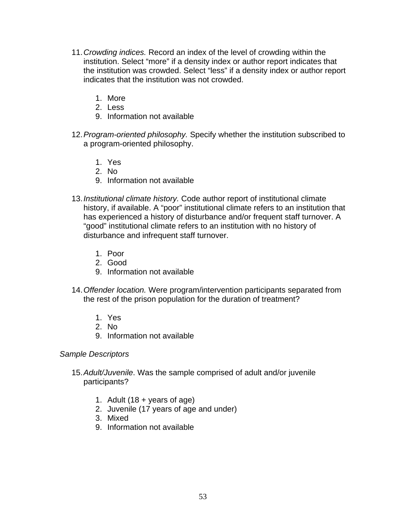- 11. *Crowding indices.* Record an index of the level of crowding within the institution. Select "more" if a density index or author report indicates that the institution was crowded. Select "less" if a density index or author report indicates that the institution was not crowded.
	- 1. More
	- 2. Less
	- 9. Information not available
- 12. *Program-oriented philosophy.* Specify whether the institution subscribed to a program-oriented philosophy.
	- 1. Yes
	- 2. No
	- 9. Information not available
- 13. *Institutional climate history.* Code author report of institutional climate history, if available. A "poor" institutional climate refers to an institution that has experienced a history of disturbance and/or frequent staff turnover. A "good" institutional climate refers to an institution with no history of disturbance and infrequent staff turnover.
	- 1. Poor
	- 2. Good
	- 9. Information not available
- 14. *Offender location.* Were program/intervention participants separated from the rest of the prison population for the duration of treatment?
	- 1. Yes
	- 2. No
	- 9. Information not available

### *Sample Descriptors*

- 15. *Adult/Juvenile*. Was the sample comprised of adult and/or juvenile participants?
	- 1. Adult  $(18 + \text{years of age})$
	- 2. Juvenile (17 years of age and under)
	- 3. Mixed
	- 9. Information not available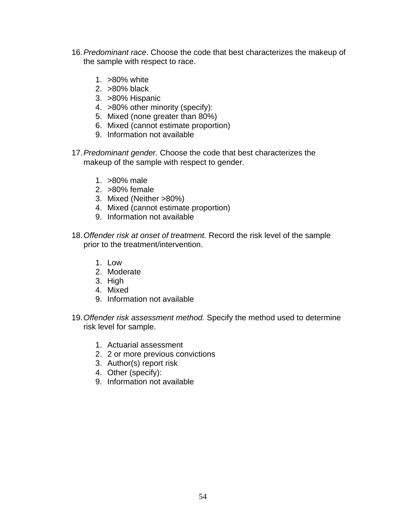- 16. *Predominant race*. Choose the code that best characterizes the makeup of the sample with respect to race.
	- 1. >80% white
	- 2. >80% black
	- 3. >80% Hispanic
	- 4. >80% other minority (specify):
	- 5. Mixed (none greater than 80%)
	- 6. Mixed (cannot estimate proportion)
	- 9. Information not available
- 17. *Predominant gender.* Choose the code that best characterizes the makeup of the sample with respect to gender.
	- 1. >80% male
	- 2. >80% female
	- 3. Mixed (Neither >80%)
	- 4. Mixed (cannot estimate proportion)
	- 9. Information not available
- 18. *Offender risk at onset of treatment.* Record the risk level of the sample prior to the treatment/intervention.
	- 1. Low
	- 2. Moderate
	- 3. High
	- 4. Mixed
	- 9. Information not available
- 19. *Offender risk assessment method.* Specify the method used to determine risk level for sample.
	- 1. Actuarial assessment
	- 2. 2 or more previous convictions
	- 3. Author(s) report risk
	- 4. Other (specify):
	- 9. Information not available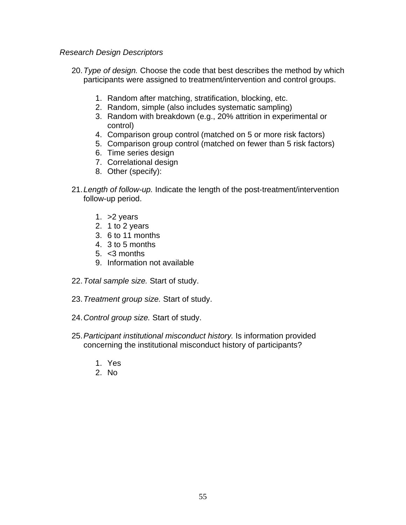### *Research Design Descriptors*

- 20. *Type of design.* Choose the code that best describes the method by which participants were assigned to treatment/intervention and control groups.
	- 1. Random after matching, stratification, blocking, etc.
	- 2. Random, simple (also includes systematic sampling)
	- 3. Random with breakdown (e.g., 20% attrition in experimental or control)
	- 4. Comparison group control (matched on 5 or more risk factors)
	- 5. Comparison group control (matched on fewer than 5 risk factors)
	- 6. Time series design
	- 7. Correlational design
	- 8. Other (specify):
- 21. *Length of follow-up.* Indicate the length of the post-treatment/intervention follow-up period.
	- 1. >2 years
	- 2. 1 to 2 years
	- 3. 6 to 11 months
	- 4. 3 to 5 months
	- 5. <3 months
	- 9. Information not available
- 22. *Total sample size.* Start of study.
- 23. *Treatment group size.* Start of study.
- 24. *Control group size.* Start of study.
- 25. *Participant institutional misconduct history.* Is information provided concerning the institutional misconduct history of participants?
	- 1. Yes
	- 2. No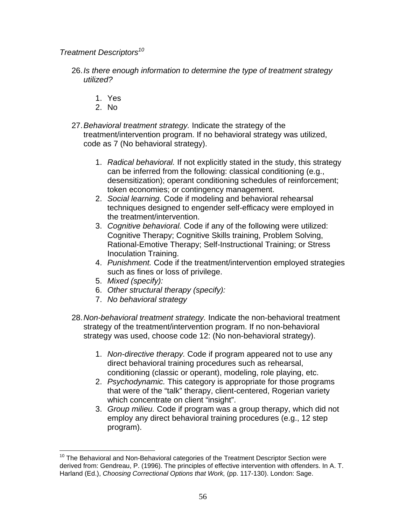*Treatment Descriptors[10](#page-57-0)*

- 26. *Is there enough information to determine the type of treatment strategy utilized?* 
	- 1. Yes
	- 2. No
- 27. *Behavioral treatment strategy.* Indicate the strategy of the treatment/intervention program. If no behavioral strategy was utilized, code as 7 (No behavioral strategy).
	- 1. *Radical behavioral.* If not explicitly stated in the study, this strategy can be inferred from the following: classical conditioning (e.g., desensitization); operant conditioning schedules of reinforcement; token economies; or contingency management.
	- 2. *Social learning.* Code if modeling and behavioral rehearsal techniques designed to engender self-efficacy were employed in the treatment/intervention.
	- 3. *Cognitive behavioral.* Code if any of the following were utilized: Cognitive Therapy; Cognitive Skills training, Problem Solving, Rational-Emotive Therapy; Self-Instructional Training; or Stress Inoculation Training.
	- 4. *Punishment.* Code if the treatment/intervention employed strategies such as fines or loss of privilege.
	- 5. *Mixed (specify):*
	- 6. *Other structural therapy (specify):*
	- 7. *No behavioral strategy*
- 28. *Non-behavioral treatment strategy.* Indicate the non-behavioral treatment strategy of the treatment/intervention program. If no non-behavioral strategy was used, choose code 12: (No non-behavioral strategy).
	- 1. *Non-directive therapy.* Code if program appeared not to use any direct behavioral training procedures such as rehearsal, conditioning (classic or operant), modeling, role playing, etc.
	- 2. *Psychodynamic.* This category is appropriate for those programs that were of the "talk" therapy, client-centered, Rogerian variety which concentrate on client "insight".
	- 3. *Group milieu.* Code if program was a group therapy, which did not employ any direct behavioral training procedures (e.g., 12 step program).

<span id="page-57-0"></span> $\overline{a}$  $10$  The Behavioral and Non-Behavioral categories of the Treatment Descriptor Section were derived from: Gendreau, P. (1996). The principles of effective intervention with offenders. In A. T. Harland (Ed.), *Choosing Correctional Options that Work,* (pp. 117-130). London: Sage.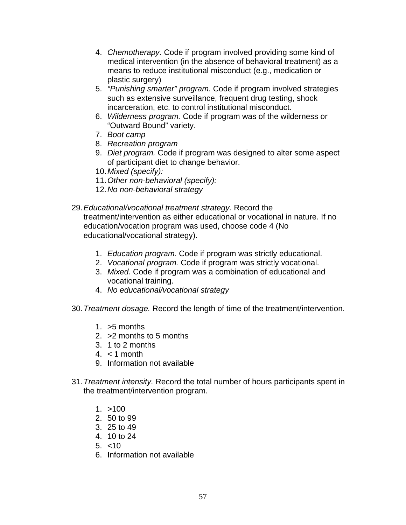- 4. *Chemotherapy.* Code if program involved providing some kind of medical intervention (in the absence of behavioral treatment) as a means to reduce institutional misconduct (e.g., medication or plastic surgery)
- 5. *"Punishing smarter" program.* Code if program involved strategies such as extensive surveillance, frequent drug testing, shock incarceration, etc. to control institutional misconduct.
- 6. *Wilderness program.* Code if program was of the wilderness or "Outward Bound" variety.
- 7. *Boot camp*
- 8. *Recreation program*
- 9. *Diet program.* Code if program was designed to alter some aspect of participant diet to change behavior.
- 10. *Mixed (specify):*
- 11. *Other non-behavioral (specify):*
- 12. *No non-behavioral strategy*
- 29. *Educational/vocational treatment strategy.* Record the treatment/intervention as either educational or vocational in nature. If no education/vocation program was used, choose code 4 (No educational/vocational strategy).
	- 1. *Education program.* Code if program was strictly educational.
	- 2. *Vocational program.* Code if program was strictly vocational.
	- 3. *Mixed.* Code if program was a combination of educational and vocational training.
	- 4. *No educational/vocational strategy*
- 30. *Treatment dosage.* Record the length of time of the treatment/intervention.
	- 1. >5 months
	- 2. >2 months to 5 months
	- 3. 1 to 2 months
	- $4. < 1$  month
	- 9. Information not available
- 31. *Treatment intensity.* Record the total number of hours participants spent in the treatment/intervention program.
	- $1. > 100$
	- 2. 50 to 99
	- 3. 25 to 49
	- 4. 10 to 24
	- 5. <10
	- 6. Information not available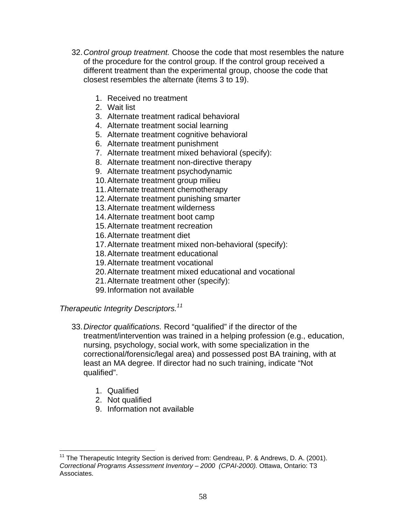- 32. *Control group treatment.* Choose the code that most resembles the nature of the procedure for the control group. If the control group received a different treatment than the experimental group, choose the code that closest resembles the alternate (items 3 to 19).
	- 1. Received no treatment
	- 2. Wait list
	- 3. Alternate treatment radical behavioral
	- 4. Alternate treatment social learning
	- 5. Alternate treatment cognitive behavioral
	- 6. Alternate treatment punishment
	- 7. Alternate treatment mixed behavioral (specify):
	- 8. Alternate treatment non-directive therapy
	- 9. Alternate treatment psychodynamic
	- 10. Alternate treatment group milieu
	- 11. Alternate treatment chemotherapy
	- 12. Alternate treatment punishing smarter
	- 13. Alternate treatment wilderness
	- 14. Alternate treatment boot camp
	- 15. Alternate treatment recreation
	- 16. Alternate treatment diet
	- 17. Alternate treatment mixed non-behavioral (specify):
	- 18. Alternate treatment educational
	- 19. Alternate treatment vocational
	- 20. Alternate treatment mixed educational and vocational
	- 21. Alternate treatment other (specify):
	- 99. Information not available

# *Therapeutic Integrity Descriptors.[11](#page-59-0)*

- 33. *Director qualifications.* Record "qualified" if the director of the treatment/intervention was trained in a helping profession (e.g., education, nursing, psychology, social work, with some specialization in the correctional/forensic/legal area) and possessed post BA training, with at least an MA degree. If director had no such training, indicate "Not qualified".
	- 1. Qualified
	- 2. Not qualified
	- 9. Information not available

<span id="page-59-0"></span> $\overline{a}$  $11$  The Therapeutic Integrity Section is derived from: Gendreau, P. & Andrews, D. A. (2001). *Correctional Programs Assessment Inventory – 2000 (CPAI-2000).* Ottawa, Ontario: T3 Associates.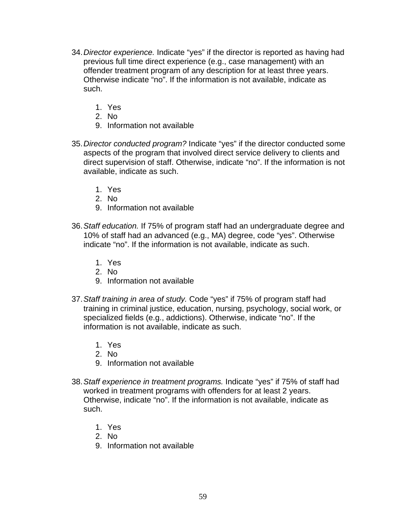- 34. *Director experience.* Indicate "yes" if the director is reported as having had previous full time direct experience (e.g., case management) with an offender treatment program of any description for at least three years. Otherwise indicate "no". If the information is not available, indicate as such.
	- 1. Yes
	- 2. No
	- 9. Information not available
- 35. *Director conducted program?* Indicate "yes" if the director conducted some aspects of the program that involved direct service delivery to clients and direct supervision of staff. Otherwise, indicate "no". If the information is not available, indicate as such.
	- 1. Yes
	- 2. No
	- 9. Information not available
- 36. *Staff education.* If 75% of program staff had an undergraduate degree and 10% of staff had an advanced (e.g., MA) degree, code "yes". Otherwise indicate "no". If the information is not available, indicate as such.
	- 1. Yes
	- 2. No
	- 9. Information not available
- 37. *Staff training in area of study.* Code "yes" if 75% of program staff had training in criminal justice, education, nursing, psychology, social work, or specialized fields (e.g., addictions). Otherwise, indicate "no". If the information is not available, indicate as such.
	- 1. Yes
	- 2. No
	- 9. Information not available
- 38. *Staff experience in treatment programs.* Indicate "yes" if 75% of staff had worked in treatment programs with offenders for at least 2 years. Otherwise, indicate "no". If the information is not available, indicate as such.
	- 1. Yes
	- 2. No
	- 9. Information not available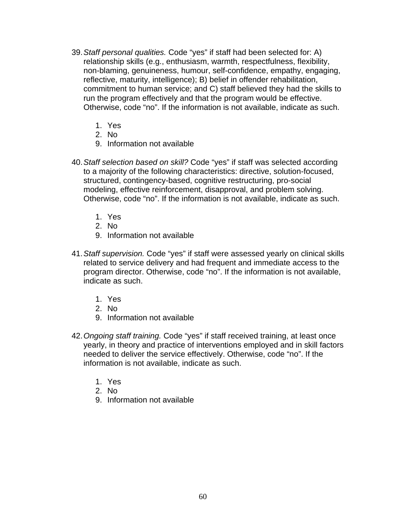- 39. *Staff personal qualities.* Code "yes" if staff had been selected for: A) relationship skills (e.g., enthusiasm, warmth, respectfulness, flexibility, non-blaming, genuineness, humour, self-confidence, empathy, engaging, reflective, maturity, intelligence); B) belief in offender rehabilitation, commitment to human service; and C) staff believed they had the skills to run the program effectively and that the program would be effective. Otherwise, code "no". If the information is not available, indicate as such.
	- 1. Yes
	- 2. No
	- 9. Information not available
- 40. *Staff selection based on skill?* Code "yes" if staff was selected according to a majority of the following characteristics: directive, solution-focused, structured, contingency-based, cognitive restructuring, pro-social modeling, effective reinforcement, disapproval, and problem solving. Otherwise, code "no". If the information is not available, indicate as such.
	- 1. Yes
	- 2. No
	- 9. Information not available
- 41. *Staff supervision.* Code "yes" if staff were assessed yearly on clinical skills related to service delivery and had frequent and immediate access to the program director. Otherwise, code "no". If the information is not available, indicate as such.
	- 1. Yes
	- 2. No
	- 9. Information not available
- 42. *Ongoing staff training.* Code "yes" if staff received training, at least once yearly, in theory and practice of interventions employed and in skill factors needed to deliver the service effectively. Otherwise, code "no". If the information is not available, indicate as such.
	- 1. Yes
	- 2. No
	- 9. Information not available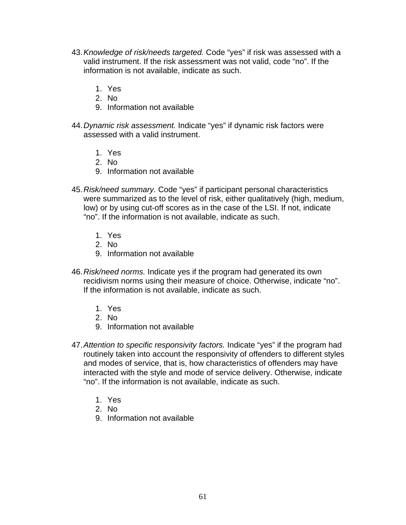- 43. *Knowledge of risk/needs targeted.* Code "yes" if risk was assessed with a valid instrument. If the risk assessment was not valid, code "no". If the information is not available, indicate as such.
	- 1. Yes
	- 2. No
	- 9. Information not available
- 44. *Dynamic risk assessment.* Indicate "yes" if dynamic risk factors were assessed with a valid instrument.
	- 1. Yes
	- 2. No
	- 9. Information not available
- 45. *Risk/need summary.* Code "yes" if participant personal characteristics were summarized as to the level of risk, either qualitatively (high, medium, low) or by using cut-off scores as in the case of the LSI. If not, indicate "no". If the information is not available, indicate as such.
	- 1. Yes
	- 2. No
	- 9. Information not available
- 46. *Risk/need norms.* Indicate yes if the program had generated its own recidivism norms using their measure of choice. Otherwise, indicate "no". If the information is not available, indicate as such.
	- 1. Yes
	- 2. No
	- 9. Information not available
- 47. *Attention to specific responsivity factors.* Indicate "yes" if the program had routinely taken into account the responsivity of offenders to different styles and modes of service, that is, how characteristics of offenders may have interacted with the style and mode of service delivery. Otherwise, indicate "no". If the information is not available, indicate as such.
	- 1. Yes
	- 2. No
	- 9. Information not available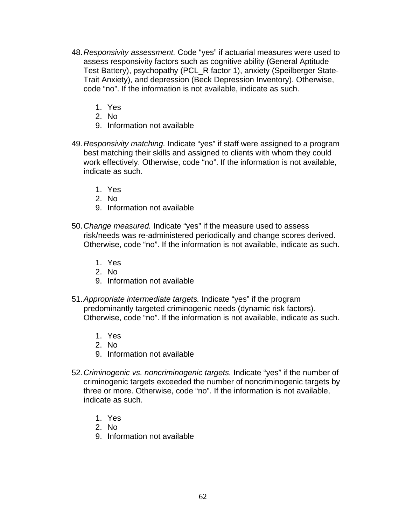- 48. *Responsivity assessment.* Code "yes" if actuarial measures were used to assess responsivity factors such as cognitive ability (General Aptitude Test Battery), psychopathy (PCL\_R factor 1), anxiety (Speilberger State-Trait Anxiety), and depression (Beck Depression Inventory). Otherwise, code "no". If the information is not available, indicate as such.
	- 1. Yes
	- 2. No
	- 9. Information not available
- 49. *Responsivity matching.* Indicate "yes" if staff were assigned to a program best matching their skills and assigned to clients with whom they could work effectively. Otherwise, code "no". If the information is not available, indicate as such.
	- 1. Yes
	- 2. No
	- 9. Information not available
- 50. *Change measured.* Indicate "yes" if the measure used to assess risk/needs was re-administered periodically and change scores derived. Otherwise, code "no". If the information is not available, indicate as such.
	- 1. Yes
	- 2. No
	- 9. Information not available
- 51. *Appropriate intermediate targets.* Indicate "yes" if the program predominantly targeted criminogenic needs (dynamic risk factors). Otherwise, code "no". If the information is not available, indicate as such.
	- 1. Yes
	- 2. No
	- 9. Information not available
- 52. *Criminogenic vs. noncriminogenic targets.* Indicate "yes" if the number of criminogenic targets exceeded the number of noncriminogenic targets by three or more. Otherwise, code "no". If the information is not available, indicate as such.
	- 1. Yes
	- 2. No
	- 9. Information not available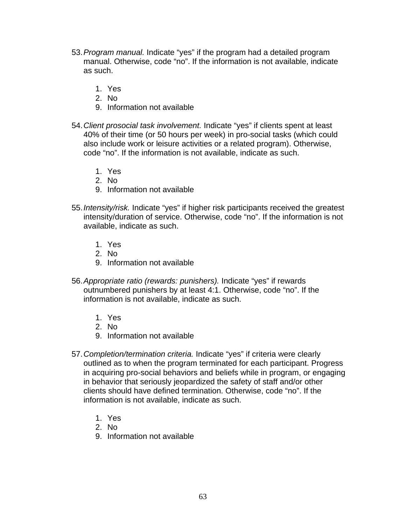- 53. *Program manual.* Indicate "yes" if the program had a detailed program manual. Otherwise, code "no". If the information is not available, indicate as such.
	- 1. Yes
	- 2. No
	- 9. Information not available
- 54. *Client prosocial task involvement.* Indicate "yes" if clients spent at least 40% of their time (or 50 hours per week) in pro-social tasks (which could also include work or leisure activities or a related program). Otherwise, code "no". If the information is not available, indicate as such.
	- 1. Yes
	- 2. No
	- 9. Information not available
- 55. *Intensity/risk.* Indicate "yes" if higher risk participants received the greatest intensity/duration of service. Otherwise, code "no". If the information is not available, indicate as such.
	- 1. Yes
	- 2. No
	- 9. Information not available
- 56. *Appropriate ratio (rewards: punishers).* Indicate "yes" if rewards outnumbered punishers by at least 4:1. Otherwise, code "no". If the information is not available, indicate as such.
	- 1. Yes
	- 2. No
	- 9. Information not available
- 57. *Completion/termination criteria.* Indicate "yes" if criteria were clearly outlined as to when the program terminated for each participant. Progress in acquiring pro-social behaviors and beliefs while in program, or engaging in behavior that seriously jeopardized the safety of staff and/or other clients should have defined termination. Otherwise, code "no". If the information is not available, indicate as such.
	- 1. Yes
	- 2. No
	- 9. Information not available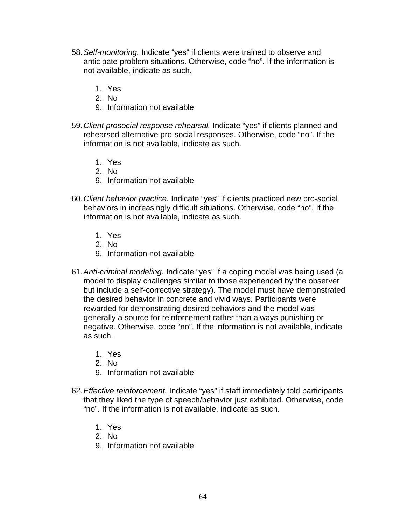- 58. *Self-monitoring.* Indicate "yes" if clients were trained to observe and anticipate problem situations. Otherwise, code "no". If the information is not available, indicate as such.
	- 1. Yes
	- 2. No
	- 9. Information not available
- 59. *Client prosocial response rehearsal.* Indicate "yes" if clients planned and rehearsed alternative pro-social responses. Otherwise, code "no". If the information is not available, indicate as such.
	- 1. Yes
	- 2. No
	- 9. Information not available
- 60. *Client behavior practice.* Indicate "yes" if clients practiced new pro-social behaviors in increasingly difficult situations. Otherwise, code "no". If the information is not available, indicate as such.
	- 1. Yes
	- 2. No
	- 9. Information not available
- 61. *Anti-criminal modeling.* Indicate "yes" if a coping model was being used (a model to display challenges similar to those experienced by the observer but include a self-corrective strategy). The model must have demonstrated the desired behavior in concrete and vivid ways. Participants were rewarded for demonstrating desired behaviors and the model was generally a source for reinforcement rather than always punishing or negative. Otherwise, code "no". If the information is not available, indicate as such.
	- 1. Yes
	- 2. No
	- 9. Information not available
- 62. *Effective reinforcement.* Indicate "yes" if staff immediately told participants that they liked the type of speech/behavior just exhibited. Otherwise, code "no". If the information is not available, indicate as such.
	- 1. Yes
	- 2. No
	- 9. Information not available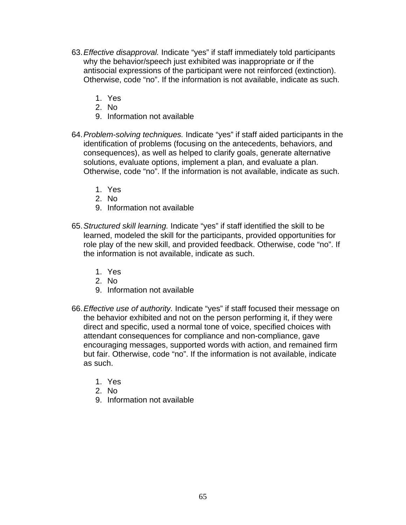- 63. *Effective disapproval.* Indicate "yes" if staff immediately told participants why the behavior/speech just exhibited was inappropriate or if the antisocial expressions of the participant were not reinforced (extinction). Otherwise, code "no". If the information is not available, indicate as such.
	- 1. Yes
	- 2. No
	- 9. Information not available
- 64. *Problem-solving techniques.* Indicate "yes" if staff aided participants in the identification of problems (focusing on the antecedents, behaviors, and consequences), as well as helped to clarify goals, generate alternative solutions, evaluate options, implement a plan, and evaluate a plan. Otherwise, code "no". If the information is not available, indicate as such.
	- 1. Yes
	- 2. No
	- 9. Information not available
- 65. *Structured skill learning.* Indicate "yes" if staff identified the skill to be learned, modeled the skill for the participants, provided opportunities for role play of the new skill, and provided feedback. Otherwise, code "no". If the information is not available, indicate as such.
	- 1. Yes
	- 2. No
	- 9. Information not available
- 66. *Effective use of authority.* Indicate "yes" if staff focused their message on the behavior exhibited and not on the person performing it, if they were direct and specific, used a normal tone of voice, specified choices with attendant consequences for compliance and non-compliance, gave encouraging messages, supported words with action, and remained firm but fair. Otherwise, code "no". If the information is not available, indicate as such.
	- 1. Yes
	- 2. No
	- 9. Information not available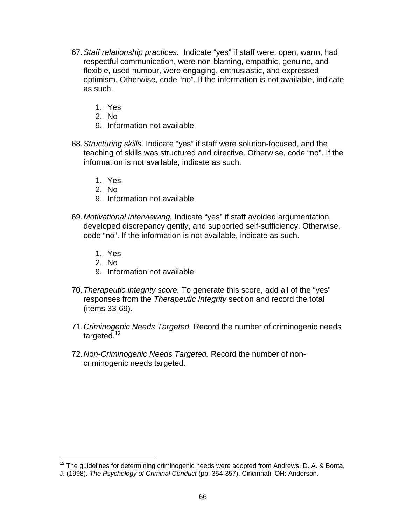- 67. *Staff relationship practices.* Indicate "yes" if staff were: open, warm, had respectful communication, were non-blaming, empathic, genuine, and flexible, used humour, were engaging, enthusiastic, and expressed optimism. Otherwise, code "no". If the information is not available, indicate as such.
	- 1. Yes
	- 2. No
	- 9. Information not available
- 68. *Structuring skills.* Indicate "yes" if staff were solution-focused, and the teaching of skills was structured and directive. Otherwise, code "no". If the information is not available, indicate as such.
	- 1. Yes
	- 2. No
	- 9. Information not available
- 69. *Motivational interviewing.* Indicate "yes" if staff avoided argumentation, developed discrepancy gently, and supported self-sufficiency. Otherwise, code "no". If the information is not available, indicate as such.
	- 1. Yes
	- 2. No

 $\overline{a}$ 

- 9. Information not available
- 70. *Therapeutic integrity score.* To generate this score, add all of the "yes" responses from the *Therapeutic Integrity* section and record the total (items 33-69).
- 71. *Criminogenic Needs Targeted.* Record the number of criminogenic needs targeted.<sup>12</sup>
- 72. *N*o*n-Criminogenic Needs Targeted.* Record the number of noncriminogenic needs targeted.

<span id="page-67-0"></span> $12$  The guidelines for determining criminogenic needs were adopted from Andrews, D. A. & Bonta,

J. (1998). *The Psychology of Criminal Conduct* (pp. 354-357). Cincinnati, OH: Anderson.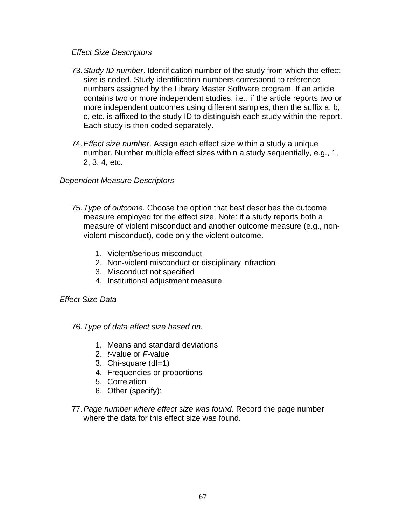### *Effect Size Descriptors*

- 73. *Study ID number*. Identification number of the study from which the effect size is coded. Study identification numbers correspond to reference numbers assigned by the Library Master Software program. If an article contains two or more independent studies, i.e., if the article reports two or more independent outcomes using different samples, then the suffix a, b, c, etc. is affixed to the study ID to distinguish each study within the report. Each study is then coded separately.
- 74. *Effect size number*. Assign each effect size within a study a unique number. Number multiple effect sizes within a study sequentially, e.g., 1, 2, 3, 4, etc.

# *Dependent Measure Descriptors*

- 75. *Type of outcome.* Choose the option that best describes the outcome measure employed for the effect size. Note: if a study reports both a measure of violent misconduct and another outcome measure (e.g., nonviolent misconduct), code only the violent outcome.
	- 1. Violent/serious misconduct
	- 2. Non-violent misconduct or disciplinary infraction
	- 3. Misconduct not specified
	- 4. Institutional adjustment measure

# *Effect Size Data*

### 76. *Type of data effect size based on.*

- 1. Means and standard deviations
- 2. *t*-value or *F*-value
- 3. Chi-square (df=1)
- 4. Frequencies or proportions
- 5. Correlation
- 6. Other (specify):
- 77. *Page number where effect size was found.* Record the page number where the data for this effect size was found.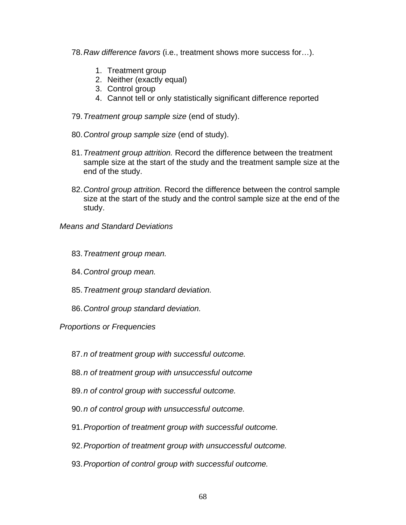- 78. *Raw difference favors* (i.e., treatment shows more success for…).
	- 1. Treatment group
	- 2. Neither (exactly equal)
	- 3. Control group
	- 4. Cannot tell or only statistically significant difference reported
- 79. *Treatment group sample size* (end of study).
- 80. *Control group sample size* (end of study).
- 81. *Treatment group attrition.* Record the difference between the treatment sample size at the start of the study and the treatment sample size at the end of the study.
- 82. *Control group attrition.* Record the difference between the control sample size at the start of the study and the control sample size at the end of the study.

# *Means and Standard Deviations*

- 83. *Treatment group mean.*
- 84. *Control group mean.*
- 85. *Treatment group standard deviation.*
- 86. *Control group standard deviation.*

### *Proportions or Frequencies*

- 87. *n of treatment group with successful outcome.*
- 88. *n of treatment group with unsuccessful outcome*
- 89. *n of control group with successful outcome.*
- 90. *n of control group with unsuccessful outcome.*
- 91. *Proportion of treatment group with successful outcome.*
- 92. *Proportion of treatment group with unsuccessful outcome.*
- 93. *Proportion of control group with successful outcome.*